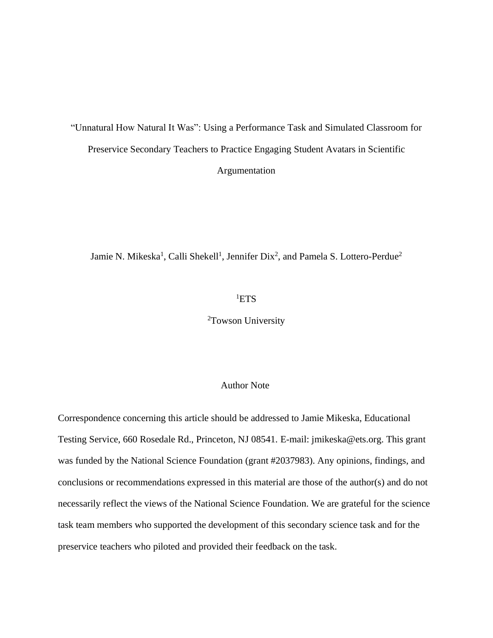"Unnatural How Natural It Was": Using a Performance Task and Simulated Classroom for Preservice Secondary Teachers to Practice Engaging Student Avatars in Scientific Argumentation

Jamie N. Mikeska<sup>1</sup>, Calli Shekell<sup>1</sup>, Jennifer Dix<sup>2</sup>, and Pamela S. Lottero-Perdue<sup>2</sup>

#### <sup>1</sup>ETS

<sup>2</sup>Towson University

#### Author Note

Correspondence concerning this article should be addressed to Jamie Mikeska, Educational Testing Service, 660 Rosedale Rd., Princeton, NJ 08541. E-mail: jmikeska@ets.org. This grant was funded by the National Science Foundation (grant #2037983). Any opinions, findings, and conclusions or recommendations expressed in this material are those of the author(s) and do not necessarily reflect the views of the National Science Foundation. We are grateful for the science task team members who supported the development of this secondary science task and for the preservice teachers who piloted and provided their feedback on the task.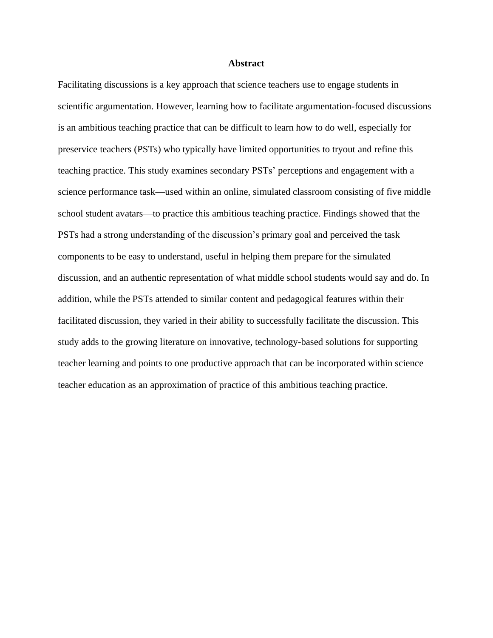#### **Abstract**

Facilitating discussions is a key approach that science teachers use to engage students in scientific argumentation. However, learning how to facilitate argumentation-focused discussions is an ambitious teaching practice that can be difficult to learn how to do well, especially for preservice teachers (PSTs) who typically have limited opportunities to tryout and refine this teaching practice. This study examines secondary PSTs' perceptions and engagement with a science performance task—used within an online, simulated classroom consisting of five middle school student avatars—to practice this ambitious teaching practice. Findings showed that the PSTs had a strong understanding of the discussion's primary goal and perceived the task components to be easy to understand, useful in helping them prepare for the simulated discussion, and an authentic representation of what middle school students would say and do. In addition, while the PSTs attended to similar content and pedagogical features within their facilitated discussion, they varied in their ability to successfully facilitate the discussion. This study adds to the growing literature on innovative, technology-based solutions for supporting teacher learning and points to one productive approach that can be incorporated within science teacher education as an approximation of practice of this ambitious teaching practice.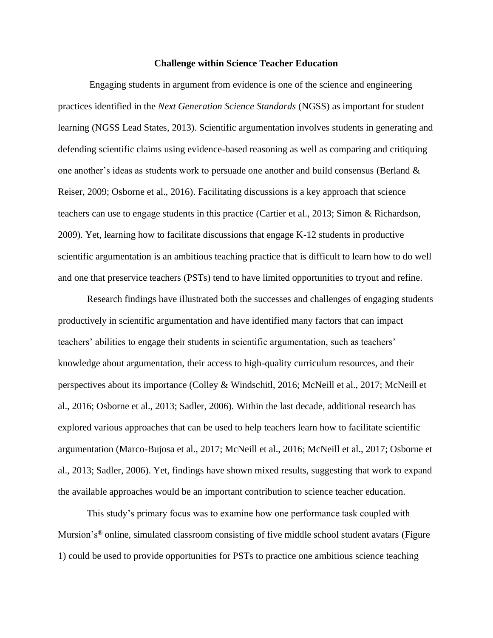#### **Challenge within Science Teacher Education**

Engaging students in argument from evidence is one of the science and engineering practices identified in the *Next Generation Science Standards* (NGSS) as important for student learning (NGSS Lead States, 2013). Scientific argumentation involves students in generating and defending scientific claims using evidence-based reasoning as well as comparing and critiquing one another's ideas as students work to persuade one another and build consensus (Berland & Reiser, 2009; Osborne et al., 2016). Facilitating discussions is a key approach that science teachers can use to engage students in this practice (Cartier et al., 2013; Simon & Richardson, 2009). Yet, learning how to facilitate discussions that engage K-12 students in productive scientific argumentation is an ambitious teaching practice that is difficult to learn how to do well and one that preservice teachers (PSTs) tend to have limited opportunities to tryout and refine.

Research findings have illustrated both the successes and challenges of engaging students productively in scientific argumentation and have identified many factors that can impact teachers' abilities to engage their students in scientific argumentation, such as teachers' knowledge about argumentation, their access to high-quality curriculum resources, and their perspectives about its importance (Colley & Windschitl, 2016; McNeill et al., 2017; McNeill et al., 2016; Osborne et al., 2013; Sadler, 2006). Within the last decade, additional research has explored various approaches that can be used to help teachers learn how to facilitate scientific argumentation (Marco-Bujosa et al., 2017; McNeill et al., 2016; McNeill et al., 2017; Osborne et al., 2013; Sadler, 2006). Yet, findings have shown mixed results, suggesting that work to expand the available approaches would be an important contribution to science teacher education.

This study's primary focus was to examine how one performance task coupled with Mursion's<sup>®</sup> online, simulated classroom consisting of five middle school student avatars (Figure 1) could be used to provide opportunities for PSTs to practice one ambitious science teaching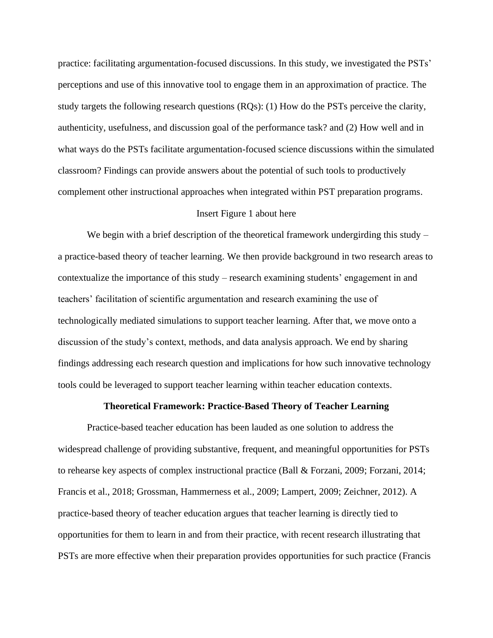practice: facilitating argumentation-focused discussions. In this study, we investigated the PSTs' perceptions and use of this innovative tool to engage them in an approximation of practice. The study targets the following research questions (RQs): (1) How do the PSTs perceive the clarity, authenticity, usefulness, and discussion goal of the performance task? and (2) How well and in what ways do the PSTs facilitate argumentation-focused science discussions within the simulated classroom? Findings can provide answers about the potential of such tools to productively complement other instructional approaches when integrated within PST preparation programs.

#### Insert Figure 1 about here

We begin with a brief description of the theoretical framework undergirding this study – a practice-based theory of teacher learning. We then provide background in two research areas to contextualize the importance of this study – research examining students' engagement in and teachers' facilitation of scientific argumentation and research examining the use of technologically mediated simulations to support teacher learning. After that, we move onto a discussion of the study's context, methods, and data analysis approach. We end by sharing findings addressing each research question and implications for how such innovative technology tools could be leveraged to support teacher learning within teacher education contexts.

#### **Theoretical Framework: Practice-Based Theory of Teacher Learning**

Practice-based teacher education has been lauded as one solution to address the widespread challenge of providing substantive, frequent, and meaningful opportunities for PSTs to rehearse key aspects of complex instructional practice (Ball & Forzani, 2009; Forzani, 2014; Francis et al., 2018; Grossman, Hammerness et al., 2009; Lampert, 2009; Zeichner, 2012). A practice-based theory of teacher education argues that teacher learning is directly tied to opportunities for them to learn in and from their practice, with recent research illustrating that PSTs are more effective when their preparation provides opportunities for such practice (Francis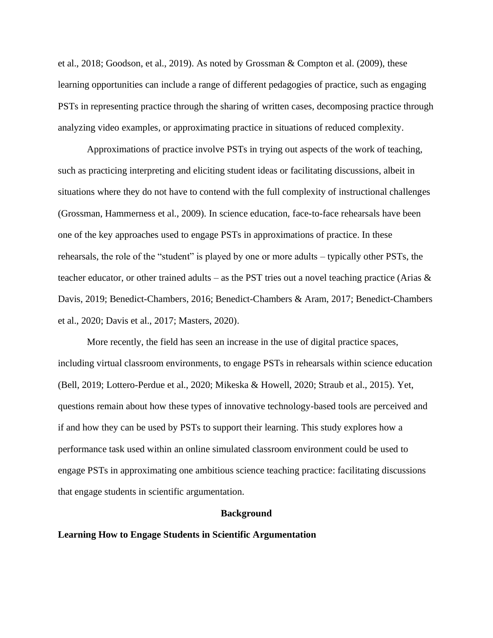et al., 2018; Goodson, et al., 2019). As noted by Grossman & Compton et al. (2009), these learning opportunities can include a range of different pedagogies of practice, such as engaging PSTs in representing practice through the sharing of written cases, decomposing practice through analyzing video examples, or approximating practice in situations of reduced complexity.

Approximations of practice involve PSTs in trying out aspects of the work of teaching, such as practicing interpreting and eliciting student ideas or facilitating discussions, albeit in situations where they do not have to contend with the full complexity of instructional challenges (Grossman, Hammerness et al., 2009). In science education, face-to-face rehearsals have been one of the key approaches used to engage PSTs in approximations of practice. In these rehearsals, the role of the "student" is played by one or more adults – typically other PSTs, the teacher educator, or other trained adults – as the PST tries out a novel teaching practice (Arias  $\&$ Davis, 2019; Benedict-Chambers, 2016; Benedict-Chambers & Aram, 2017; Benedict-Chambers et al., 2020; Davis et al., 2017; Masters, 2020).

More recently, the field has seen an increase in the use of digital practice spaces, including virtual classroom environments, to engage PSTs in rehearsals within science education (Bell, 2019; Lottero-Perdue et al., 2020; Mikeska & Howell, 2020; Straub et al., 2015). Yet, questions remain about how these types of innovative technology-based tools are perceived and if and how they can be used by PSTs to support their learning. This study explores how a performance task used within an online simulated classroom environment could be used to engage PSTs in approximating one ambitious science teaching practice: facilitating discussions that engage students in scientific argumentation.

#### **Background**

#### **Learning How to Engage Students in Scientific Argumentation**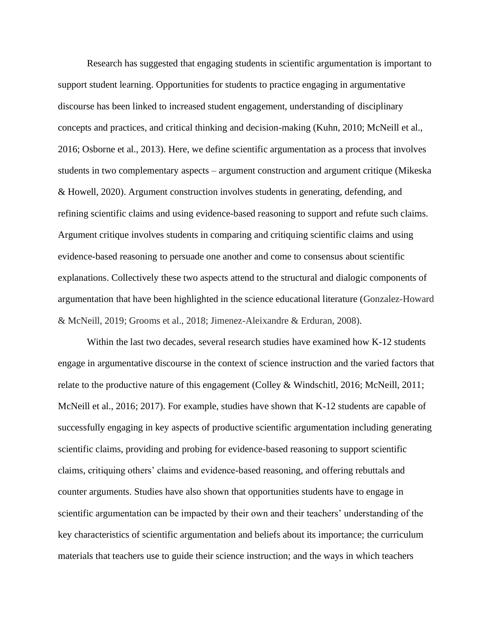Research has suggested that engaging students in scientific argumentation is important to support student learning. Opportunities for students to practice engaging in argumentative discourse has been linked to increased student engagement, understanding of disciplinary concepts and practices, and critical thinking and decision-making (Kuhn, 2010; McNeill et al., 2016; Osborne et al., 2013). Here, we define scientific argumentation as a process that involves students in two complementary aspects – argument construction and argument critique (Mikeska & Howell, 2020). Argument construction involves students in generating, defending, and refining scientific claims and using evidence-based reasoning to support and refute such claims. Argument critique involves students in comparing and critiquing scientific claims and using evidence-based reasoning to persuade one another and come to consensus about scientific explanations. Collectively these two aspects attend to the structural and dialogic components of argumentation that have been highlighted in the science educational literature (Gonzalez-Howard & McNeill, 2019; Grooms et al., 2018; Jimenez-Aleixandre & Erduran, 2008).

Within the last two decades, several research studies have examined how K-12 students engage in argumentative discourse in the context of science instruction and the varied factors that relate to the productive nature of this engagement (Colley & Windschitl, 2016; McNeill, 2011; McNeill et al., 2016; 2017). For example, studies have shown that K-12 students are capable of successfully engaging in key aspects of productive scientific argumentation including generating scientific claims, providing and probing for evidence-based reasoning to support scientific claims, critiquing others' claims and evidence-based reasoning, and offering rebuttals and counter arguments. Studies have also shown that opportunities students have to engage in scientific argumentation can be impacted by their own and their teachers' understanding of the key characteristics of scientific argumentation and beliefs about its importance; the curriculum materials that teachers use to guide their science instruction; and the ways in which teachers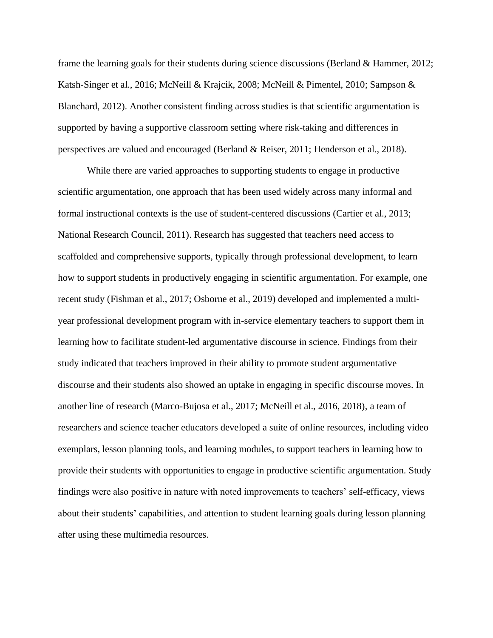frame the learning goals for their students during science discussions (Berland & Hammer, 2012; Katsh-Singer et al., 2016; McNeill & Krajcik, 2008; McNeill & Pimentel, 2010; Sampson & Blanchard, 2012). Another consistent finding across studies is that scientific argumentation is supported by having a supportive classroom setting where risk-taking and differences in perspectives are valued and encouraged (Berland & Reiser, 2011; Henderson et al., 2018).

While there are varied approaches to supporting students to engage in productive scientific argumentation, one approach that has been used widely across many informal and formal instructional contexts is the use of student-centered discussions (Cartier et al., 2013; National Research Council, 2011). Research has suggested that teachers need access to scaffolded and comprehensive supports, typically through professional development, to learn how to support students in productively engaging in scientific argumentation. For example, one recent study (Fishman et al., 2017; Osborne et al., 2019) developed and implemented a multiyear professional development program with in-service elementary teachers to support them in learning how to facilitate student-led argumentative discourse in science. Findings from their study indicated that teachers improved in their ability to promote student argumentative discourse and their students also showed an uptake in engaging in specific discourse moves. In another line of research (Marco-Bujosa et al., 2017; McNeill et al., 2016, 2018), a team of researchers and science teacher educators developed a suite of online resources, including video exemplars, lesson planning tools, and learning modules, to support teachers in learning how to provide their students with opportunities to engage in productive scientific argumentation. Study findings were also positive in nature with noted improvements to teachers' self-efficacy, views about their students' capabilities, and attention to student learning goals during lesson planning after using these multimedia resources.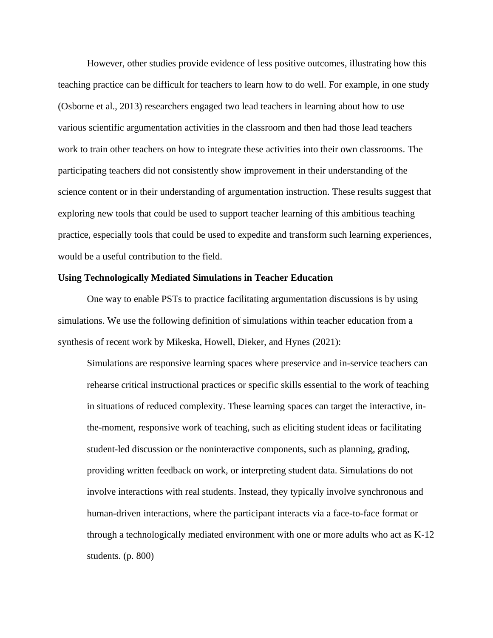However, other studies provide evidence of less positive outcomes, illustrating how this teaching practice can be difficult for teachers to learn how to do well. For example, in one study (Osborne et al., 2013) researchers engaged two lead teachers in learning about how to use various scientific argumentation activities in the classroom and then had those lead teachers work to train other teachers on how to integrate these activities into their own classrooms. The participating teachers did not consistently show improvement in their understanding of the science content or in their understanding of argumentation instruction. These results suggest that exploring new tools that could be used to support teacher learning of this ambitious teaching practice, especially tools that could be used to expedite and transform such learning experiences, would be a useful contribution to the field.

#### **Using Technologically Mediated Simulations in Teacher Education**

One way to enable PSTs to practice facilitating argumentation discussions is by using simulations. We use the following definition of simulations within teacher education from a synthesis of recent work by Mikeska, Howell, Dieker, and Hynes (2021):

Simulations are responsive learning spaces where preservice and in-service teachers can rehearse critical instructional practices or specific skills essential to the work of teaching in situations of reduced complexity. These learning spaces can target the interactive, inthe-moment, responsive work of teaching, such as eliciting student ideas or facilitating student-led discussion or the noninteractive components, such as planning, grading, providing written feedback on work, or interpreting student data. Simulations do not involve interactions with real students. Instead, they typically involve synchronous and human-driven interactions, where the participant interacts via a face-to-face format or through a technologically mediated environment with one or more adults who act as K-12 students. (p. 800)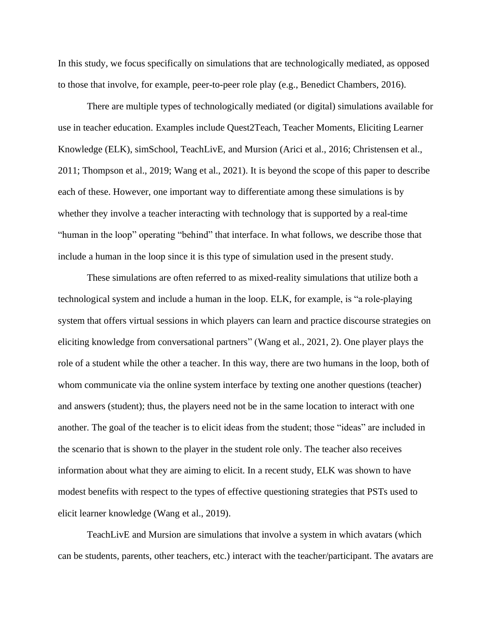In this study, we focus specifically on simulations that are technologically mediated, as opposed to those that involve, for example, peer-to-peer role play (e.g., Benedict Chambers, 2016).

There are multiple types of technologically mediated (or digital) simulations available for use in teacher education. Examples include Quest2Teach, Teacher Moments, Eliciting Learner Knowledge (ELK), simSchool, TeachLivE, and Mursion (Arici et al., 2016; Christensen et al., 2011; Thompson et al., 2019; Wang et al., 2021). It is beyond the scope of this paper to describe each of these. However, one important way to differentiate among these simulations is by whether they involve a teacher interacting with technology that is supported by a real-time "human in the loop" operating "behind" that interface. In what follows, we describe those that include a human in the loop since it is this type of simulation used in the present study.

These simulations are often referred to as mixed-reality simulations that utilize both a technological system and include a human in the loop. ELK, for example, is "a role-playing system that offers virtual sessions in which players can learn and practice discourse strategies on eliciting knowledge from conversational partners" (Wang et al., 2021, 2). One player plays the role of a student while the other a teacher. In this way, there are two humans in the loop, both of whom communicate via the online system interface by texting one another questions (teacher) and answers (student); thus, the players need not be in the same location to interact with one another. The goal of the teacher is to elicit ideas from the student; those "ideas" are included in the scenario that is shown to the player in the student role only. The teacher also receives information about what they are aiming to elicit. In a recent study, ELK was shown to have modest benefits with respect to the types of effective questioning strategies that PSTs used to elicit learner knowledge (Wang et al., 2019).

TeachLivE and Mursion are simulations that involve a system in which avatars (which can be students, parents, other teachers, etc.) interact with the teacher/participant. The avatars are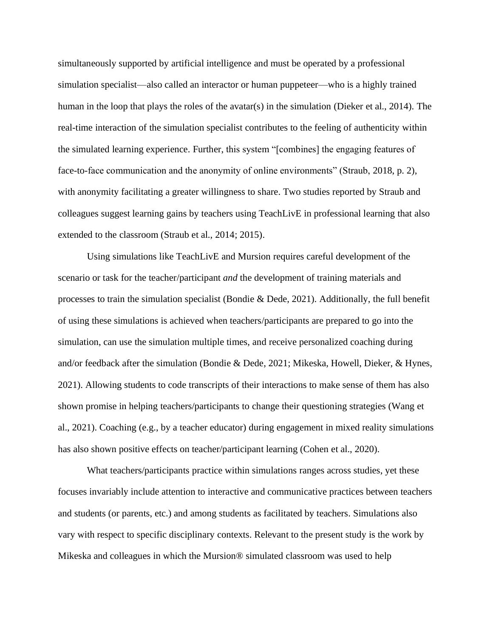simultaneously supported by artificial intelligence and must be operated by a professional simulation specialist—also called an interactor or human puppeteer—who is a highly trained human in the loop that plays the roles of the avatar(s) in the simulation (Dieker et al., 2014). The real-time interaction of the simulation specialist contributes to the feeling of authenticity within the simulated learning experience. Further, this system "[combines] the engaging features of face-to-face communication and the anonymity of online environments" (Straub, 2018, p. 2), with anonymity facilitating a greater willingness to share. Two studies reported by Straub and colleagues suggest learning gains by teachers using TeachLivE in professional learning that also extended to the classroom (Straub et al., 2014; 2015).

Using simulations like TeachLivE and Mursion requires careful development of the scenario or task for the teacher/participant *and* the development of training materials and processes to train the simulation specialist (Bondie & Dede, 2021). Additionally, the full benefit of using these simulations is achieved when teachers/participants are prepared to go into the simulation, can use the simulation multiple times, and receive personalized coaching during and/or feedback after the simulation (Bondie & Dede, 2021; Mikeska, Howell, Dieker, & Hynes, 2021). Allowing students to code transcripts of their interactions to make sense of them has also shown promise in helping teachers/participants to change their questioning strategies (Wang et al., 2021). Coaching (e.g., by a teacher educator) during engagement in mixed reality simulations has also shown positive effects on teacher/participant learning (Cohen et al., 2020).

What teachers/participants practice within simulations ranges across studies, yet these focuses invariably include attention to interactive and communicative practices between teachers and students (or parents, etc.) and among students as facilitated by teachers. Simulations also vary with respect to specific disciplinary contexts. Relevant to the present study is the work by Mikeska and colleagues in which the Mursion® simulated classroom was used to help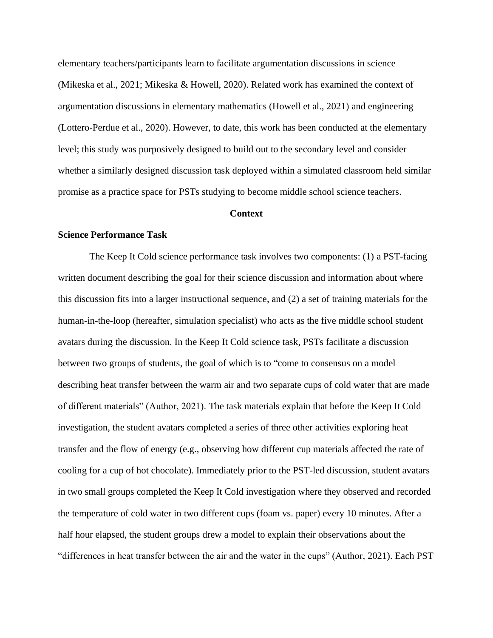elementary teachers/participants learn to facilitate argumentation discussions in science (Mikeska et al., 2021; Mikeska & Howell, 2020). Related work has examined the context of argumentation discussions in elementary mathematics (Howell et al., 2021) and engineering (Lottero-Perdue et al., 2020). However, to date, this work has been conducted at the elementary level; this study was purposively designed to build out to the secondary level and consider whether a similarly designed discussion task deployed within a simulated classroom held similar promise as a practice space for PSTs studying to become middle school science teachers.

#### **Context**

#### **Science Performance Task**

The Keep It Cold science performance task involves two components: (1) a PST-facing written document describing the goal for their science discussion and information about where this discussion fits into a larger instructional sequence, and (2) a set of training materials for the human-in-the-loop (hereafter, simulation specialist) who acts as the five middle school student avatars during the discussion. In the Keep It Cold science task, PSTs facilitate a discussion between two groups of students, the goal of which is to "come to consensus on a model describing heat transfer between the warm air and two separate cups of cold water that are made of different materials" (Author, 2021). The task materials explain that before the Keep It Cold investigation, the student avatars completed a series of three other activities exploring heat transfer and the flow of energy (e.g., observing how different cup materials affected the rate of cooling for a cup of hot chocolate). Immediately prior to the PST-led discussion, student avatars in two small groups completed the Keep It Cold investigation where they observed and recorded the temperature of cold water in two different cups (foam vs. paper) every 10 minutes. After a half hour elapsed, the student groups drew a model to explain their observations about the "differences in heat transfer between the air and the water in the cups" (Author, 2021). Each PST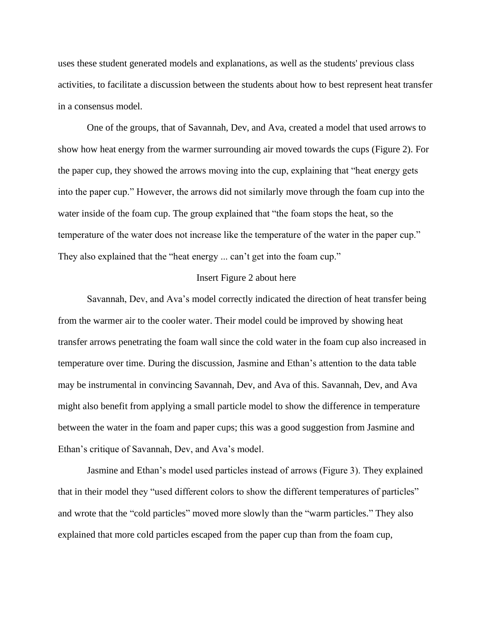uses these student generated models and explanations, as well as the students' previous class activities, to facilitate a discussion between the students about how to best represent heat transfer in a consensus model.

One of the groups, that of Savannah, Dev, and Ava, created a model that used arrows to show how heat energy from the warmer surrounding air moved towards the cups (Figure 2). For the paper cup, they showed the arrows moving into the cup, explaining that "heat energy gets into the paper cup." However, the arrows did not similarly move through the foam cup into the water inside of the foam cup. The group explained that "the foam stops the heat, so the temperature of the water does not increase like the temperature of the water in the paper cup." They also explained that the "heat energy ... can't get into the foam cup."

#### Insert Figure 2 about here

Savannah, Dev, and Ava's model correctly indicated the direction of heat transfer being from the warmer air to the cooler water. Their model could be improved by showing heat transfer arrows penetrating the foam wall since the cold water in the foam cup also increased in temperature over time. During the discussion, Jasmine and Ethan's attention to the data table may be instrumental in convincing Savannah, Dev, and Ava of this. Savannah, Dev, and Ava might also benefit from applying a small particle model to show the difference in temperature between the water in the foam and paper cups; this was a good suggestion from Jasmine and Ethan's critique of Savannah, Dev, and Ava's model.

Jasmine and Ethan's model used particles instead of arrows (Figure 3). They explained that in their model they "used different colors to show the different temperatures of particles" and wrote that the "cold particles" moved more slowly than the "warm particles." They also explained that more cold particles escaped from the paper cup than from the foam cup,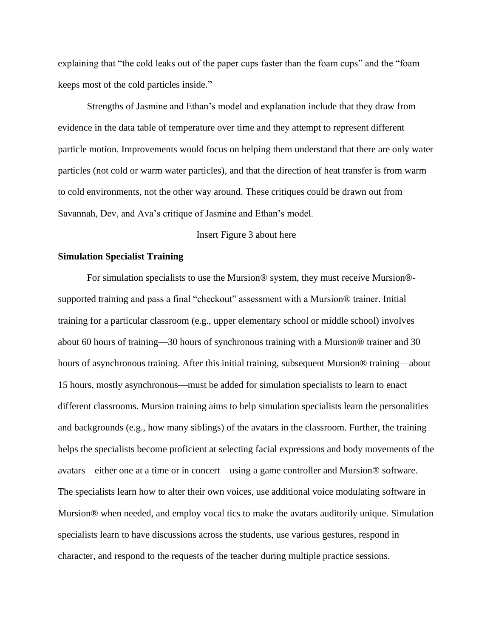explaining that "the cold leaks out of the paper cups faster than the foam cups" and the "foam keeps most of the cold particles inside."

Strengths of Jasmine and Ethan's model and explanation include that they draw from evidence in the data table of temperature over time and they attempt to represent different particle motion. Improvements would focus on helping them understand that there are only water particles (not cold or warm water particles), and that the direction of heat transfer is from warm to cold environments, not the other way around. These critiques could be drawn out from Savannah, Dev, and Ava's critique of Jasmine and Ethan's model.

#### Insert Figure 3 about here

#### **Simulation Specialist Training**

For simulation specialists to use the Mursion® system, they must receive Mursion® supported training and pass a final "checkout" assessment with a Mursion® trainer. Initial training for a particular classroom (e.g., upper elementary school or middle school) involves about 60 hours of training—30 hours of synchronous training with a Mursion® trainer and 30 hours of asynchronous training. After this initial training, subsequent Mursion® training—about 15 hours, mostly asynchronous—must be added for simulation specialists to learn to enact different classrooms. Mursion training aims to help simulation specialists learn the personalities and backgrounds (e.g., how many siblings) of the avatars in the classroom. Further, the training helps the specialists become proficient at selecting facial expressions and body movements of the avatars—either one at a time or in concert—using a game controller and Mursion® software. The specialists learn how to alter their own voices, use additional voice modulating software in Mursion® when needed, and employ vocal tics to make the avatars auditorily unique. Simulation specialists learn to have discussions across the students, use various gestures, respond in character, and respond to the requests of the teacher during multiple practice sessions.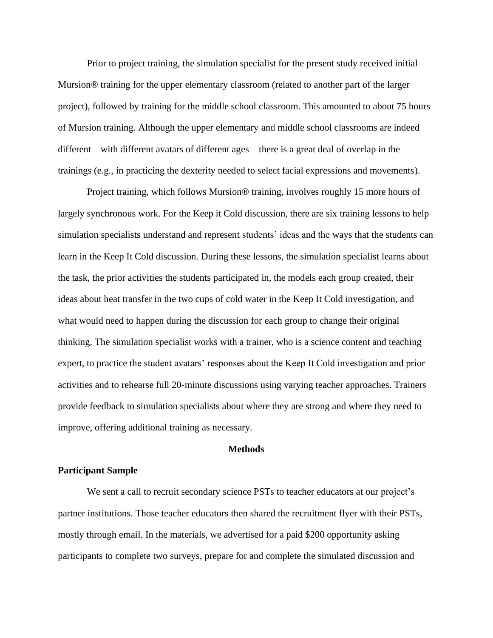Prior to project training, the simulation specialist for the present study received initial Mursion® training for the upper elementary classroom (related to another part of the larger project), followed by training for the middle school classroom. This amounted to about 75 hours of Mursion training. Although the upper elementary and middle school classrooms are indeed different—with different avatars of different ages—there is a great deal of overlap in the trainings (e.g., in practicing the dexterity needed to select facial expressions and movements).

Project training, which follows Mursion® training, involves roughly 15 more hours of largely synchronous work. For the Keep it Cold discussion, there are six training lessons to help simulation specialists understand and represent students' ideas and the ways that the students can learn in the Keep It Cold discussion. During these lessons, the simulation specialist learns about the task, the prior activities the students participated in, the models each group created, their ideas about heat transfer in the two cups of cold water in the Keep It Cold investigation, and what would need to happen during the discussion for each group to change their original thinking. The simulation specialist works with a trainer, who is a science content and teaching expert, to practice the student avatars' responses about the Keep It Cold investigation and prior activities and to rehearse full 20-minute discussions using varying teacher approaches. Trainers provide feedback to simulation specialists about where they are strong and where they need to improve, offering additional training as necessary.

#### **Methods**

#### **Participant Sample**

We sent a call to recruit secondary science PSTs to teacher educators at our project's partner institutions. Those teacher educators then shared the recruitment flyer with their PSTs, mostly through email. In the materials, we advertised for a paid \$200 opportunity asking participants to complete two surveys, prepare for and complete the simulated discussion and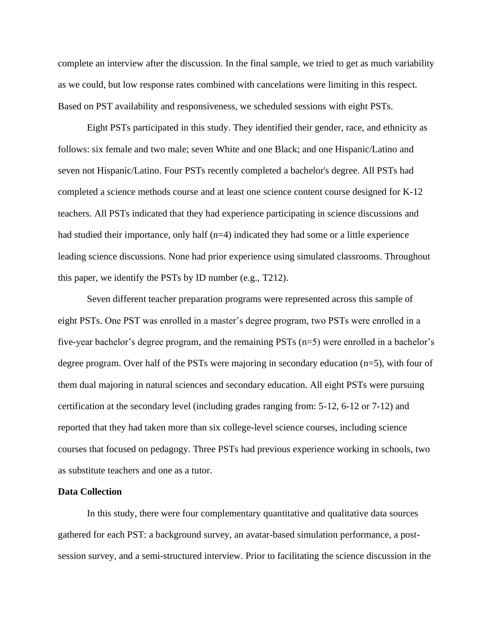complete an interview after the discussion. In the final sample, we tried to get as much variability as we could, but low response rates combined with cancelations were limiting in this respect. Based on PST availability and responsiveness, we scheduled sessions with eight PSTs.

Eight PSTs participated in this study. They identified their gender, race, and ethnicity as follows: six female and two male; seven White and one Black; and one Hispanic/Latino and seven not Hispanic/Latino. Four PSTs recently completed a bachelor's degree. All PSTs had completed a science methods course and at least one science content course designed for K-12 teachers. All PSTs indicated that they had experience participating in science discussions and had studied their importance, only half (n=4) indicated they had some or a little experience leading science discussions. None had prior experience using simulated classrooms. Throughout this paper, we identify the PSTs by ID number (e.g., T212).

Seven different teacher preparation programs were represented across this sample of eight PSTs. One PST was enrolled in a master's degree program, two PSTs were enrolled in a five-year bachelor's degree program, and the remaining PSTs (n=5) were enrolled in a bachelor's degree program. Over half of the PSTs were majoring in secondary education (n=5), with four of them dual majoring in natural sciences and secondary education. All eight PSTs were pursuing certification at the secondary level (including grades ranging from: 5-12, 6-12 or 7-12) and reported that they had taken more than six college-level science courses, including science courses that focused on pedagogy. Three PSTs had previous experience working in schools, two as substitute teachers and one as a tutor.

#### **Data Collection**

In this study, there were four complementary quantitative and qualitative data sources gathered for each PST: a background survey, an avatar-based simulation performance, a postsession survey, and a semi-structured interview. Prior to facilitating the science discussion in the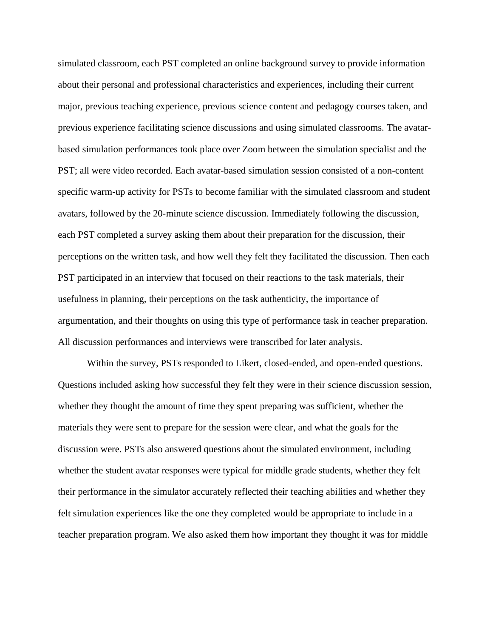simulated classroom, each PST completed an online background survey to provide information about their personal and professional characteristics and experiences, including their current major, previous teaching experience, previous science content and pedagogy courses taken, and previous experience facilitating science discussions and using simulated classrooms. The avatarbased simulation performances took place over Zoom between the simulation specialist and the PST; all were video recorded. Each avatar-based simulation session consisted of a non-content specific warm-up activity for PSTs to become familiar with the simulated classroom and student avatars, followed by the 20-minute science discussion. Immediately following the discussion, each PST completed a survey asking them about their preparation for the discussion, their perceptions on the written task, and how well they felt they facilitated the discussion. Then each PST participated in an interview that focused on their reactions to the task materials, their usefulness in planning, their perceptions on the task authenticity, the importance of argumentation, and their thoughts on using this type of performance task in teacher preparation. All discussion performances and interviews were transcribed for later analysis.

Within the survey, PSTs responded to Likert, closed-ended, and open-ended questions. Questions included asking how successful they felt they were in their science discussion session, whether they thought the amount of time they spent preparing was sufficient, whether the materials they were sent to prepare for the session were clear, and what the goals for the discussion were. PSTs also answered questions about the simulated environment, including whether the student avatar responses were typical for middle grade students, whether they felt their performance in the simulator accurately reflected their teaching abilities and whether they felt simulation experiences like the one they completed would be appropriate to include in a teacher preparation program. We also asked them how important they thought it was for middle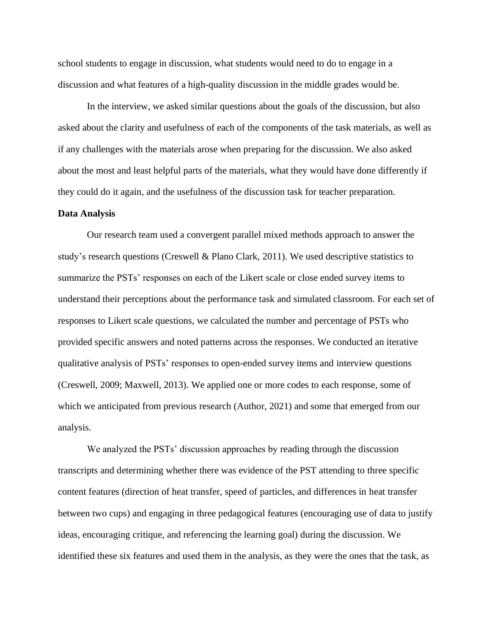school students to engage in discussion, what students would need to do to engage in a discussion and what features of a high-quality discussion in the middle grades would be.

In the interview, we asked similar questions about the goals of the discussion, but also asked about the clarity and usefulness of each of the components of the task materials, as well as if any challenges with the materials arose when preparing for the discussion. We also asked about the most and least helpful parts of the materials, what they would have done differently if they could do it again, and the usefulness of the discussion task for teacher preparation.

#### **Data Analysis**

Our research team used a convergent parallel mixed methods approach to answer the study's research questions (Creswell & Plano Clark, 2011). We used descriptive statistics to summarize the PSTs' responses on each of the Likert scale or close ended survey items to understand their perceptions about the performance task and simulated classroom. For each set of responses to Likert scale questions, we calculated the number and percentage of PSTs who provided specific answers and noted patterns across the responses. We conducted an iterative qualitative analysis of PSTs' responses to open-ended survey items and interview questions (Creswell, 2009; Maxwell, 2013). We applied one or more codes to each response, some of which we anticipated from previous research (Author, 2021) and some that emerged from our analysis.

We analyzed the PSTs' discussion approaches by reading through the discussion transcripts and determining whether there was evidence of the PST attending to three specific content features (direction of heat transfer, speed of particles, and differences in heat transfer between two cups) and engaging in three pedagogical features (encouraging use of data to justify ideas, encouraging critique, and referencing the learning goal) during the discussion. We identified these six features and used them in the analysis, as they were the ones that the task, as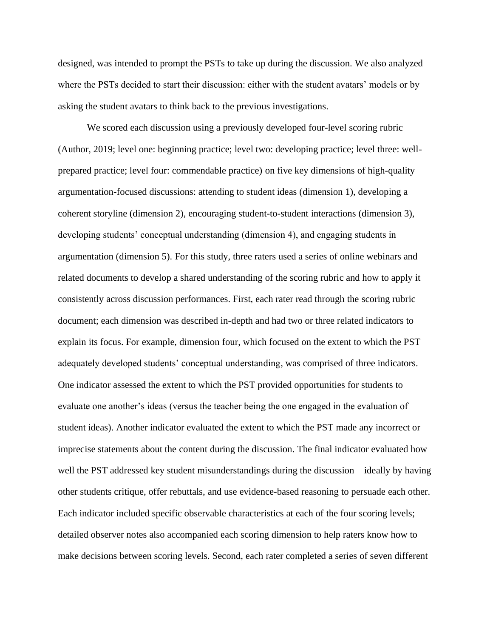designed, was intended to prompt the PSTs to take up during the discussion. We also analyzed where the PSTs decided to start their discussion: either with the student avatars' models or by asking the student avatars to think back to the previous investigations.

We scored each discussion using a previously developed four-level scoring rubric (Author, 2019; level one: beginning practice; level two: developing practice; level three: wellprepared practice; level four: commendable practice) on five key dimensions of high-quality argumentation-focused discussions: attending to student ideas (dimension 1), developing a coherent storyline (dimension 2), encouraging student-to-student interactions (dimension 3), developing students' conceptual understanding (dimension 4), and engaging students in argumentation (dimension 5). For this study, three raters used a series of online webinars and related documents to develop a shared understanding of the scoring rubric and how to apply it consistently across discussion performances. First, each rater read through the scoring rubric document; each dimension was described in-depth and had two or three related indicators to explain its focus. For example, dimension four, which focused on the extent to which the PST adequately developed students' conceptual understanding, was comprised of three indicators. One indicator assessed the extent to which the PST provided opportunities for students to evaluate one another's ideas (versus the teacher being the one engaged in the evaluation of student ideas). Another indicator evaluated the extent to which the PST made any incorrect or imprecise statements about the content during the discussion. The final indicator evaluated how well the PST addressed key student misunderstandings during the discussion – ideally by having other students critique, offer rebuttals, and use evidence-based reasoning to persuade each other. Each indicator included specific observable characteristics at each of the four scoring levels; detailed observer notes also accompanied each scoring dimension to help raters know how to make decisions between scoring levels. Second, each rater completed a series of seven different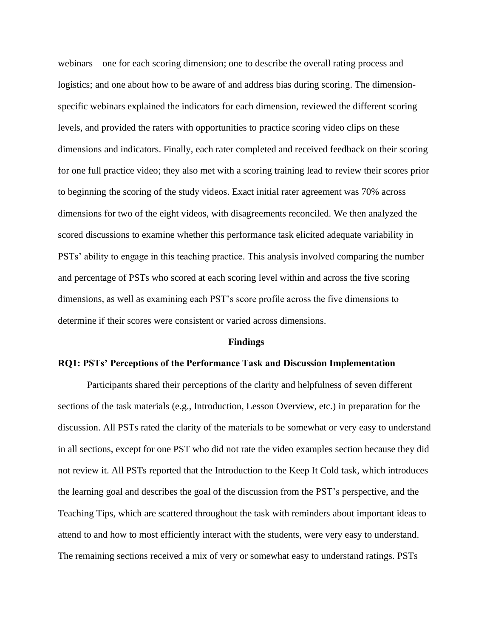webinars – one for each scoring dimension; one to describe the overall rating process and logistics; and one about how to be aware of and address bias during scoring. The dimensionspecific webinars explained the indicators for each dimension, reviewed the different scoring levels, and provided the raters with opportunities to practice scoring video clips on these dimensions and indicators. Finally, each rater completed and received feedback on their scoring for one full practice video; they also met with a scoring training lead to review their scores prior to beginning the scoring of the study videos. Exact initial rater agreement was 70% across dimensions for two of the eight videos, with disagreements reconciled. We then analyzed the scored discussions to examine whether this performance task elicited adequate variability in PSTs' ability to engage in this teaching practice. This analysis involved comparing the number and percentage of PSTs who scored at each scoring level within and across the five scoring dimensions, as well as examining each PST's score profile across the five dimensions to determine if their scores were consistent or varied across dimensions.

#### **Findings**

#### **RQ1: PSTs' Perceptions of the Performance Task and Discussion Implementation**

Participants shared their perceptions of the clarity and helpfulness of seven different sections of the task materials (e.g., Introduction, Lesson Overview, etc.) in preparation for the discussion. All PSTs rated the clarity of the materials to be somewhat or very easy to understand in all sections, except for one PST who did not rate the video examples section because they did not review it. All PSTs reported that the Introduction to the Keep It Cold task, which introduces the learning goal and describes the goal of the discussion from the PST's perspective, and the Teaching Tips, which are scattered throughout the task with reminders about important ideas to attend to and how to most efficiently interact with the students, were very easy to understand. The remaining sections received a mix of very or somewhat easy to understand ratings. PSTs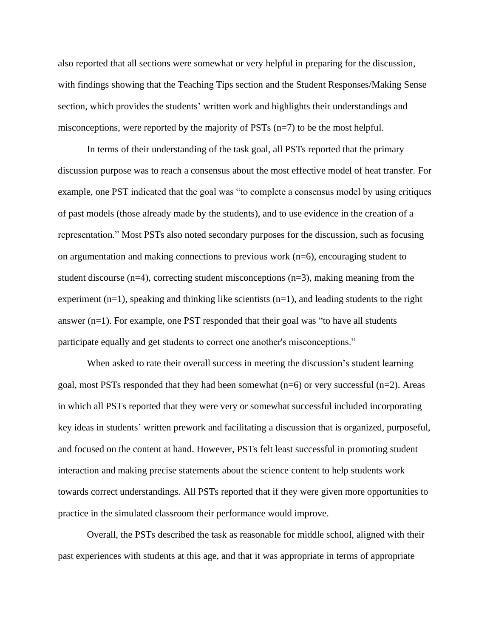also reported that all sections were somewhat or very helpful in preparing for the discussion, with findings showing that the Teaching Tips section and the Student Responses/Making Sense section, which provides the students' written work and highlights their understandings and misconceptions, were reported by the majority of PSTs (n=7) to be the most helpful.

In terms of their understanding of the task goal, all PSTs reported that the primary discussion purpose was to reach a consensus about the most effective model of heat transfer. For example, one PST indicated that the goal was "to complete a consensus model by using critiques of past models (those already made by the students), and to use evidence in the creation of a representation." Most PSTs also noted secondary purposes for the discussion, such as focusing on argumentation and making connections to previous work  $(n=6)$ , encouraging student to student discourse  $(n=4)$ , correcting student misconceptions  $(n=3)$ , making meaning from the experiment  $(n=1)$ , speaking and thinking like scientists  $(n=1)$ , and leading students to the right answer (n=1). For example, one PST responded that their goal was "to have all students participate equally and get students to correct one another's misconceptions."

When asked to rate their overall success in meeting the discussion's student learning goal, most PSTs responded that they had been somewhat (n=6) or very successful (n=2). Areas in which all PSTs reported that they were very or somewhat successful included incorporating key ideas in students' written prework and facilitating a discussion that is organized, purposeful, and focused on the content at hand. However, PSTs felt least successful in promoting student interaction and making precise statements about the science content to help students work towards correct understandings. All PSTs reported that if they were given more opportunities to practice in the simulated classroom their performance would improve.

Overall, the PSTs described the task as reasonable for middle school, aligned with their past experiences with students at this age, and that it was appropriate in terms of appropriate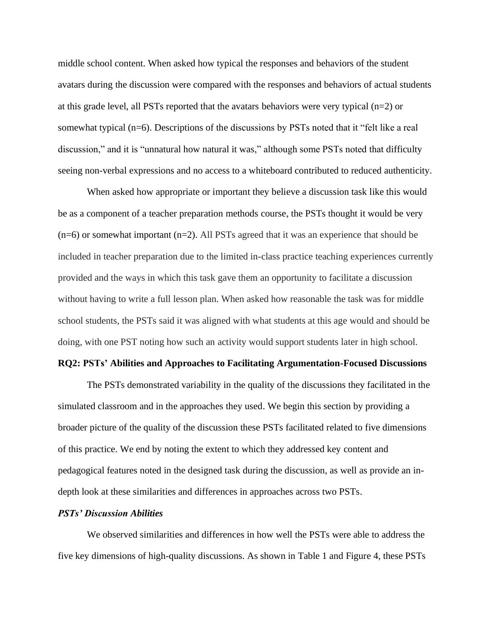middle school content. When asked how typical the responses and behaviors of the student avatars during the discussion were compared with the responses and behaviors of actual students at this grade level, all PSTs reported that the avatars behaviors were very typical (n=2) or somewhat typical (n=6). Descriptions of the discussions by PSTs noted that it "felt like a real discussion," and it is "unnatural how natural it was," although some PSTs noted that difficulty seeing non-verbal expressions and no access to a whiteboard contributed to reduced authenticity.

When asked how appropriate or important they believe a discussion task like this would be as a component of a teacher preparation methods course, the PSTs thought it would be very  $(n=6)$  or somewhat important  $(n=2)$ . All PSTs agreed that it was an experience that should be included in teacher preparation due to the limited in-class practice teaching experiences currently provided and the ways in which this task gave them an opportunity to facilitate a discussion without having to write a full lesson plan. When asked how reasonable the task was for middle school students, the PSTs said it was aligned with what students at this age would and should be doing, with one PST noting how such an activity would support students later in high school.

### **RQ2: PSTs' Abilities and Approaches to Facilitating Argumentation-Focused Discussions**

The PSTs demonstrated variability in the quality of the discussions they facilitated in the simulated classroom and in the approaches they used. We begin this section by providing a broader picture of the quality of the discussion these PSTs facilitated related to five dimensions of this practice. We end by noting the extent to which they addressed key content and pedagogical features noted in the designed task during the discussion, as well as provide an indepth look at these similarities and differences in approaches across two PSTs.

#### *PSTs' Discussion Abilities*

We observed similarities and differences in how well the PSTs were able to address the five key dimensions of high-quality discussions. As shown in Table 1 and Figure 4, these PSTs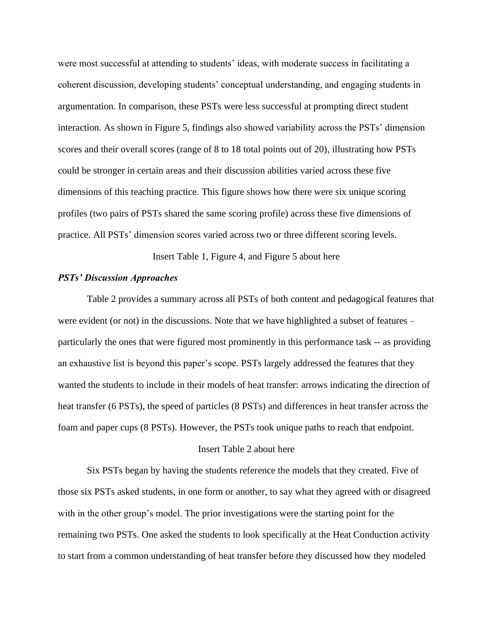were most successful at attending to students' ideas, with moderate success in facilitating a coherent discussion, developing students' conceptual understanding, and engaging students in argumentation. In comparison, these PSTs were less successful at prompting direct student interaction. As shown in Figure 5, findings also showed variability across the PSTs' dimension scores and their overall scores (range of 8 to 18 total points out of 20), illustrating how PSTs could be stronger in certain areas and their discussion abilities varied across these five dimensions of this teaching practice. This figure shows how there were six unique scoring profiles (two pairs of PSTs shared the same scoring profile) across these five dimensions of practice. All PSTs' dimension scores varied across two or three different scoring levels.

Insert Table 1, Figure 4, and Figure 5 about here

#### *PSTs' Discussion Approaches*

Table 2 provides a summary across all PSTs of both content and pedagogical features that were evident (or not) in the discussions. Note that we have highlighted a subset of features – particularly the ones that were figured most prominently in this performance task -- as providing an exhaustive list is beyond this paper's scope. PSTs largely addressed the features that they wanted the students to include in their models of heat transfer: arrows indicating the direction of heat transfer (6 PSTs), the speed of particles (8 PSTs) and differences in heat transfer across the foam and paper cups (8 PSTs). However, the PSTs took unique paths to reach that endpoint.

#### Insert Table 2 about here

Six PSTs began by having the students reference the models that they created. Five of those six PSTs asked students, in one form or another, to say what they agreed with or disagreed with in the other group's model. The prior investigations were the starting point for the remaining two PSTs. One asked the students to look specifically at the Heat Conduction activity to start from a common understanding of heat transfer before they discussed how they modeled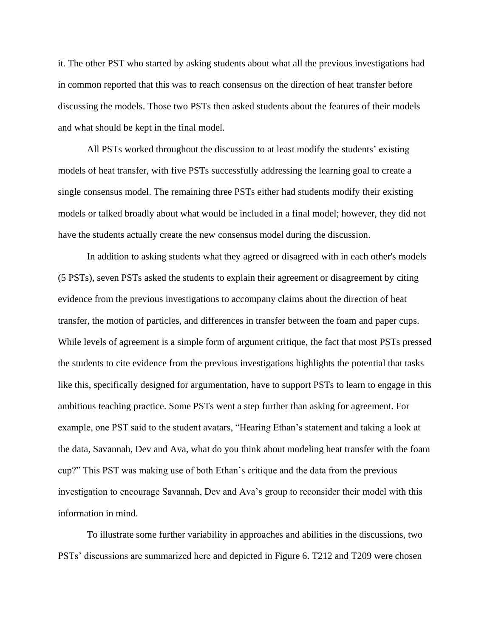it. The other PST who started by asking students about what all the previous investigations had in common reported that this was to reach consensus on the direction of heat transfer before discussing the models. Those two PSTs then asked students about the features of their models and what should be kept in the final model.

All PSTs worked throughout the discussion to at least modify the students' existing models of heat transfer, with five PSTs successfully addressing the learning goal to create a single consensus model. The remaining three PSTs either had students modify their existing models or talked broadly about what would be included in a final model; however, they did not have the students actually create the new consensus model during the discussion.

In addition to asking students what they agreed or disagreed with in each other's models (5 PSTs), seven PSTs asked the students to explain their agreement or disagreement by citing evidence from the previous investigations to accompany claims about the direction of heat transfer, the motion of particles, and differences in transfer between the foam and paper cups. While levels of agreement is a simple form of argument critique, the fact that most PSTs pressed the students to cite evidence from the previous investigations highlights the potential that tasks like this, specifically designed for argumentation, have to support PSTs to learn to engage in this ambitious teaching practice. Some PSTs went a step further than asking for agreement. For example, one PST said to the student avatars, "Hearing Ethan's statement and taking a look at the data, Savannah, Dev and Ava, what do you think about modeling heat transfer with the foam cup?" This PST was making use of both Ethan's critique and the data from the previous investigation to encourage Savannah, Dev and Ava's group to reconsider their model with this information in mind.

To illustrate some further variability in approaches and abilities in the discussions, two PSTs' discussions are summarized here and depicted in Figure 6. T212 and T209 were chosen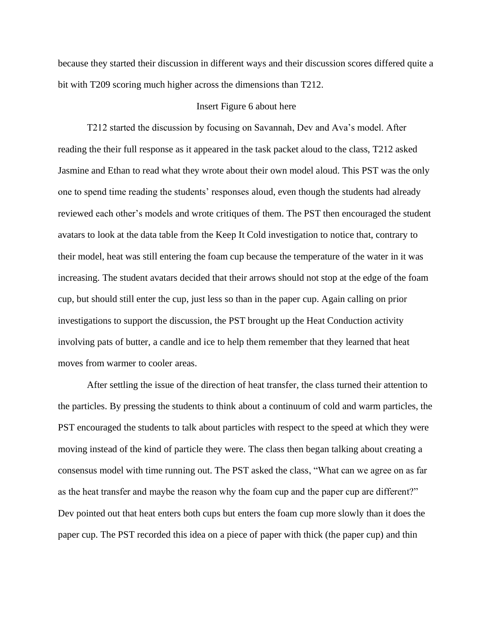because they started their discussion in different ways and their discussion scores differed quite a bit with T209 scoring much higher across the dimensions than T212.

#### Insert Figure 6 about here

T212 started the discussion by focusing on Savannah, Dev and Ava's model. After reading the their full response as it appeared in the task packet aloud to the class, T212 asked Jasmine and Ethan to read what they wrote about their own model aloud. This PST was the only one to spend time reading the students' responses aloud, even though the students had already reviewed each other's models and wrote critiques of them. The PST then encouraged the student avatars to look at the data table from the Keep It Cold investigation to notice that, contrary to their model, heat was still entering the foam cup because the temperature of the water in it was increasing. The student avatars decided that their arrows should not stop at the edge of the foam cup, but should still enter the cup, just less so than in the paper cup. Again calling on prior investigations to support the discussion, the PST brought up the Heat Conduction activity involving pats of butter, a candle and ice to help them remember that they learned that heat moves from warmer to cooler areas.

After settling the issue of the direction of heat transfer, the class turned their attention to the particles. By pressing the students to think about a continuum of cold and warm particles, the PST encouraged the students to talk about particles with respect to the speed at which they were moving instead of the kind of particle they were. The class then began talking about creating a consensus model with time running out. The PST asked the class, "What can we agree on as far as the heat transfer and maybe the reason why the foam cup and the paper cup are different?" Dev pointed out that heat enters both cups but enters the foam cup more slowly than it does the paper cup. The PST recorded this idea on a piece of paper with thick (the paper cup) and thin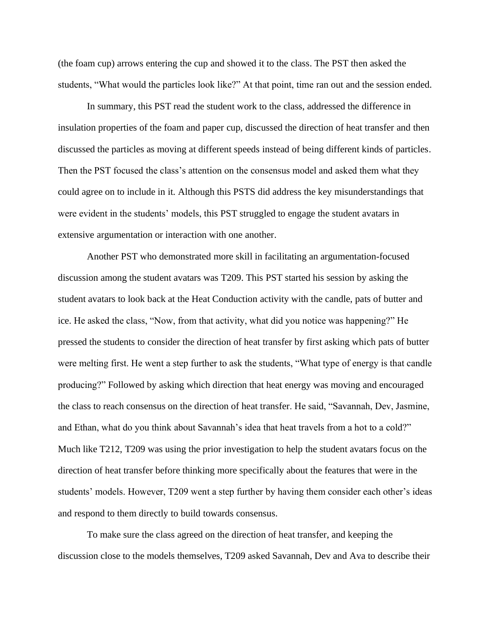(the foam cup) arrows entering the cup and showed it to the class. The PST then asked the students, "What would the particles look like?" At that point, time ran out and the session ended.

In summary, this PST read the student work to the class, addressed the difference in insulation properties of the foam and paper cup, discussed the direction of heat transfer and then discussed the particles as moving at different speeds instead of being different kinds of particles. Then the PST focused the class's attention on the consensus model and asked them what they could agree on to include in it. Although this PSTS did address the key misunderstandings that were evident in the students' models, this PST struggled to engage the student avatars in extensive argumentation or interaction with one another.

Another PST who demonstrated more skill in facilitating an argumentation-focused discussion among the student avatars was T209. This PST started his session by asking the student avatars to look back at the Heat Conduction activity with the candle, pats of butter and ice. He asked the class, "Now, from that activity, what did you notice was happening?" He pressed the students to consider the direction of heat transfer by first asking which pats of butter were melting first. He went a step further to ask the students, "What type of energy is that candle producing?" Followed by asking which direction that heat energy was moving and encouraged the class to reach consensus on the direction of heat transfer. He said, "Savannah, Dev, Jasmine, and Ethan, what do you think about Savannah's idea that heat travels from a hot to a cold?" Much like T212, T209 was using the prior investigation to help the student avatars focus on the direction of heat transfer before thinking more specifically about the features that were in the students' models. However, T209 went a step further by having them consider each other's ideas and respond to them directly to build towards consensus.

To make sure the class agreed on the direction of heat transfer, and keeping the discussion close to the models themselves, T209 asked Savannah, Dev and Ava to describe their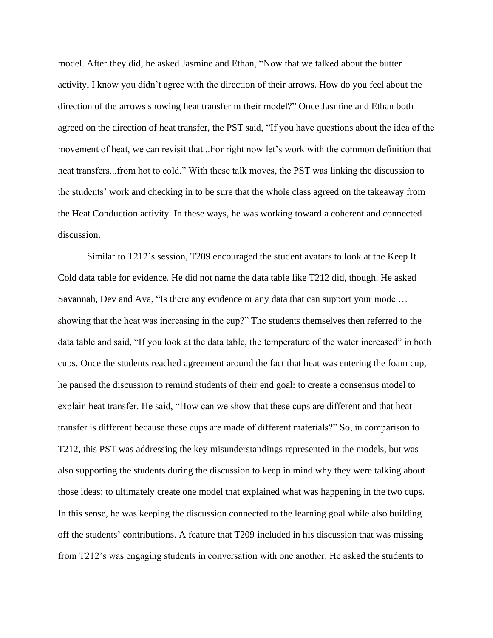model. After they did, he asked Jasmine and Ethan, "Now that we talked about the butter activity, I know you didn't agree with the direction of their arrows. How do you feel about the direction of the arrows showing heat transfer in their model?" Once Jasmine and Ethan both agreed on the direction of heat transfer, the PST said, "If you have questions about the idea of the movement of heat, we can revisit that...For right now let's work with the common definition that heat transfers...from hot to cold." With these talk moves, the PST was linking the discussion to the students' work and checking in to be sure that the whole class agreed on the takeaway from the Heat Conduction activity. In these ways, he was working toward a coherent and connected discussion.

Similar to T212's session, T209 encouraged the student avatars to look at the Keep It Cold data table for evidence. He did not name the data table like T212 did, though. He asked Savannah, Dev and Ava, "Is there any evidence or any data that can support your model… showing that the heat was increasing in the cup?" The students themselves then referred to the data table and said, "If you look at the data table, the temperature of the water increased" in both cups. Once the students reached agreement around the fact that heat was entering the foam cup, he paused the discussion to remind students of their end goal: to create a consensus model to explain heat transfer. He said, "How can we show that these cups are different and that heat transfer is different because these cups are made of different materials?" So, in comparison to T212, this PST was addressing the key misunderstandings represented in the models, but was also supporting the students during the discussion to keep in mind why they were talking about those ideas: to ultimately create one model that explained what was happening in the two cups. In this sense, he was keeping the discussion connected to the learning goal while also building off the students' contributions. A feature that T209 included in his discussion that was missing from T212's was engaging students in conversation with one another. He asked the students to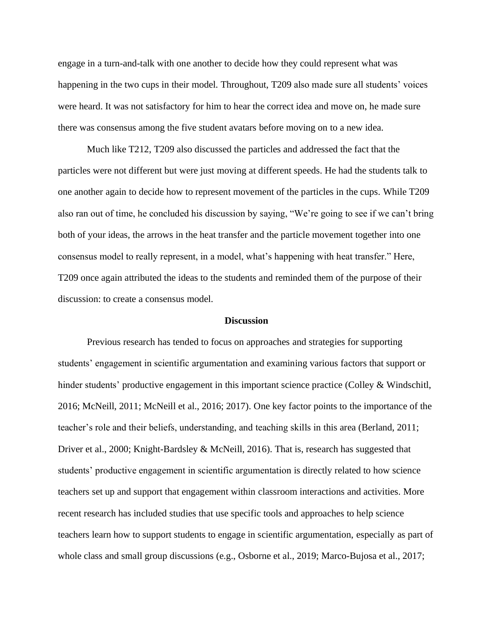engage in a turn-and-talk with one another to decide how they could represent what was happening in the two cups in their model. Throughout, T209 also made sure all students' voices were heard. It was not satisfactory for him to hear the correct idea and move on, he made sure there was consensus among the five student avatars before moving on to a new idea.

Much like T212, T209 also discussed the particles and addressed the fact that the particles were not different but were just moving at different speeds. He had the students talk to one another again to decide how to represent movement of the particles in the cups. While T209 also ran out of time, he concluded his discussion by saying, "We're going to see if we can't bring both of your ideas, the arrows in the heat transfer and the particle movement together into one consensus model to really represent, in a model, what's happening with heat transfer." Here, T209 once again attributed the ideas to the students and reminded them of the purpose of their discussion: to create a consensus model.

#### **Discussion**

Previous research has tended to focus on approaches and strategies for supporting students' engagement in scientific argumentation and examining various factors that support or hinder students' productive engagement in this important science practice (Colley & Windschitl, 2016; McNeill, 2011; McNeill et al., 2016; 2017). One key factor points to the importance of the teacher's role and their beliefs, understanding, and teaching skills in this area (Berland, 2011; Driver et al., 2000; Knight-Bardsley & McNeill, 2016). That is, research has suggested that students' productive engagement in scientific argumentation is directly related to how science teachers set up and support that engagement within classroom interactions and activities. More recent research has included studies that use specific tools and approaches to help science teachers learn how to support students to engage in scientific argumentation, especially as part of whole class and small group discussions (e.g., Osborne et al., 2019; Marco-Bujosa et al., 2017;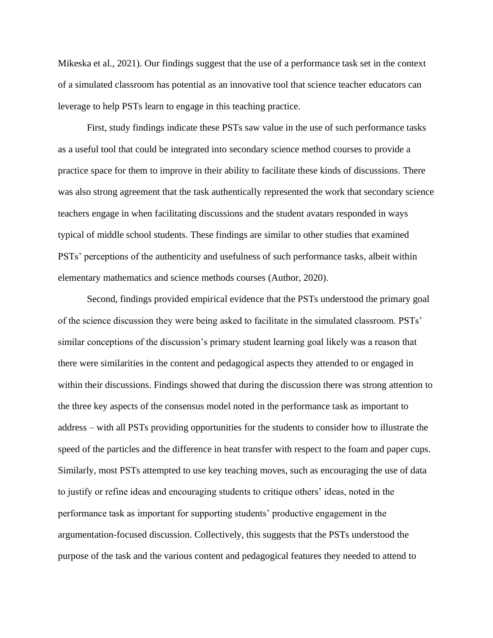Mikeska et al., 2021). Our findings suggest that the use of a performance task set in the context of a simulated classroom has potential as an innovative tool that science teacher educators can leverage to help PSTs learn to engage in this teaching practice.

First, study findings indicate these PSTs saw value in the use of such performance tasks as a useful tool that could be integrated into secondary science method courses to provide a practice space for them to improve in their ability to facilitate these kinds of discussions. There was also strong agreement that the task authentically represented the work that secondary science teachers engage in when facilitating discussions and the student avatars responded in ways typical of middle school students. These findings are similar to other studies that examined PSTs' perceptions of the authenticity and usefulness of such performance tasks, albeit within elementary mathematics and science methods courses (Author, 2020).

Second, findings provided empirical evidence that the PSTs understood the primary goal of the science discussion they were being asked to facilitate in the simulated classroom. PSTs' similar conceptions of the discussion's primary student learning goal likely was a reason that there were similarities in the content and pedagogical aspects they attended to or engaged in within their discussions. Findings showed that during the discussion there was strong attention to the three key aspects of the consensus model noted in the performance task as important to address – with all PSTs providing opportunities for the students to consider how to illustrate the speed of the particles and the difference in heat transfer with respect to the foam and paper cups. Similarly, most PSTs attempted to use key teaching moves, such as encouraging the use of data to justify or refine ideas and encouraging students to critique others' ideas, noted in the performance task as important for supporting students' productive engagement in the argumentation-focused discussion. Collectively, this suggests that the PSTs understood the purpose of the task and the various content and pedagogical features they needed to attend to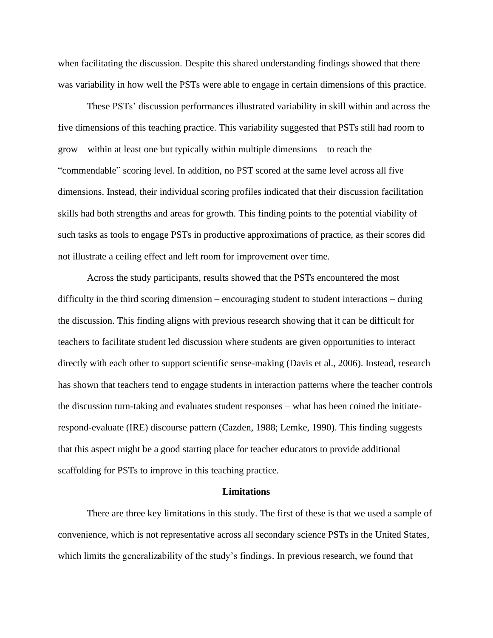when facilitating the discussion. Despite this shared understanding findings showed that there was variability in how well the PSTs were able to engage in certain dimensions of this practice.

These PSTs' discussion performances illustrated variability in skill within and across the five dimensions of this teaching practice. This variability suggested that PSTs still had room to grow – within at least one but typically within multiple dimensions – to reach the "commendable" scoring level. In addition, no PST scored at the same level across all five dimensions. Instead, their individual scoring profiles indicated that their discussion facilitation skills had both strengths and areas for growth. This finding points to the potential viability of such tasks as tools to engage PSTs in productive approximations of practice, as their scores did not illustrate a ceiling effect and left room for improvement over time.

Across the study participants, results showed that the PSTs encountered the most difficulty in the third scoring dimension – encouraging student to student interactions – during the discussion. This finding aligns with previous research showing that it can be difficult for teachers to facilitate student led discussion where students are given opportunities to interact directly with each other to support scientific sense-making (Davis et al., 2006). Instead, research has shown that teachers tend to engage students in interaction patterns where the teacher controls the discussion turn-taking and evaluates student responses – what has been coined the initiaterespond-evaluate (IRE) discourse pattern (Cazden, 1988; Lemke, 1990). This finding suggests that this aspect might be a good starting place for teacher educators to provide additional scaffolding for PSTs to improve in this teaching practice.

#### **Limitations**

There are three key limitations in this study. The first of these is that we used a sample of convenience, which is not representative across all secondary science PSTs in the United States, which limits the generalizability of the study's findings. In previous research, we found that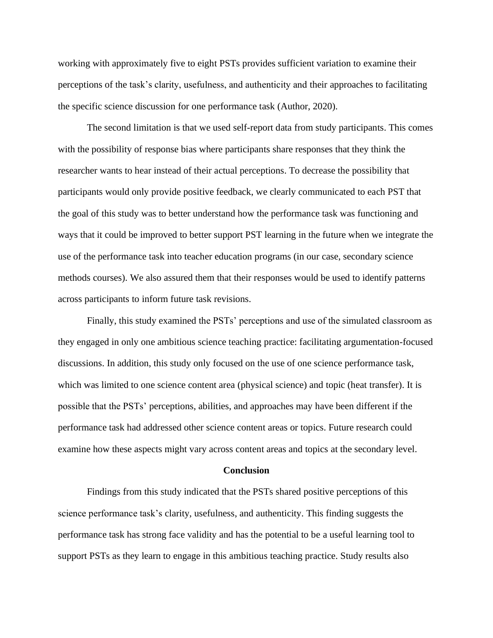working with approximately five to eight PSTs provides sufficient variation to examine their perceptions of the task's clarity, usefulness, and authenticity and their approaches to facilitating the specific science discussion for one performance task (Author, 2020).

The second limitation is that we used self-report data from study participants. This comes with the possibility of response bias where participants share responses that they think the researcher wants to hear instead of their actual perceptions. To decrease the possibility that participants would only provide positive feedback, we clearly communicated to each PST that the goal of this study was to better understand how the performance task was functioning and ways that it could be improved to better support PST learning in the future when we integrate the use of the performance task into teacher education programs (in our case, secondary science methods courses). We also assured them that their responses would be used to identify patterns across participants to inform future task revisions.

Finally, this study examined the PSTs' perceptions and use of the simulated classroom as they engaged in only one ambitious science teaching practice: facilitating argumentation-focused discussions. In addition, this study only focused on the use of one science performance task, which was limited to one science content area (physical science) and topic (heat transfer). It is possible that the PSTs' perceptions, abilities, and approaches may have been different if the performance task had addressed other science content areas or topics. Future research could examine how these aspects might vary across content areas and topics at the secondary level.

#### **Conclusion**

Findings from this study indicated that the PSTs shared positive perceptions of this science performance task's clarity, usefulness, and authenticity. This finding suggests the performance task has strong face validity and has the potential to be a useful learning tool to support PSTs as they learn to engage in this ambitious teaching practice. Study results also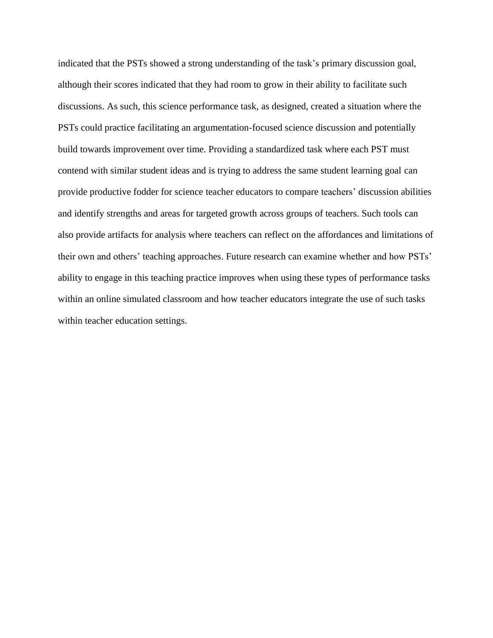indicated that the PSTs showed a strong understanding of the task's primary discussion goal, although their scores indicated that they had room to grow in their ability to facilitate such discussions. As such, this science performance task, as designed, created a situation where the PSTs could practice facilitating an argumentation-focused science discussion and potentially build towards improvement over time. Providing a standardized task where each PST must contend with similar student ideas and is trying to address the same student learning goal can provide productive fodder for science teacher educators to compare teachers' discussion abilities and identify strengths and areas for targeted growth across groups of teachers. Such tools can also provide artifacts for analysis where teachers can reflect on the affordances and limitations of their own and others' teaching approaches. Future research can examine whether and how PSTs' ability to engage in this teaching practice improves when using these types of performance tasks within an online simulated classroom and how teacher educators integrate the use of such tasks within teacher education settings.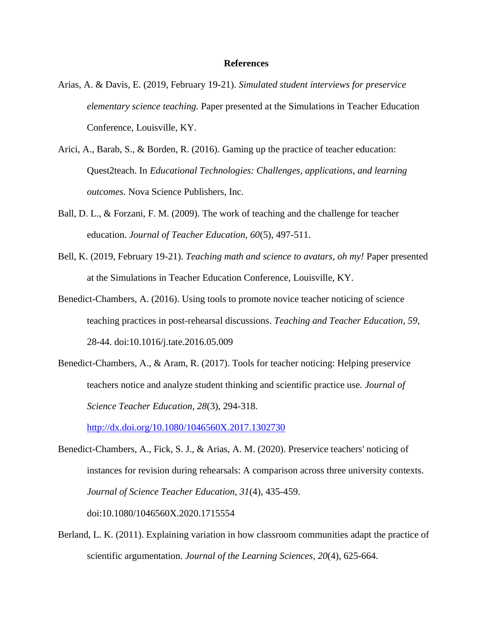#### **References**

- Arias, A. & Davis, E. (2019, February 19-21). *Simulated student interviews for preservice elementary science teaching.* Paper presented at the Simulations in Teacher Education Conference, Louisville, KY.
- Arici, A., Barab, S., & Borden, R. (2016). Gaming up the practice of teacher education: Quest2teach. In *Educational Technologies: Challenges, applications, and learning outcomes.* Nova Science Publishers, Inc.
- Ball, D. L., & Forzani, F. M. (2009). The work of teaching and the challenge for teacher education. *Journal of Teacher Education, 60*(5), 497-511.
- Bell, K. (2019, February 19-21). *Teaching math and science to avatars, oh my!* Paper presented at the Simulations in Teacher Education Conference, Louisville, KY.
- Benedict-Chambers, A. (2016). Using tools to promote novice teacher noticing of science teaching practices in post-rehearsal discussions. *Teaching and Teacher Education, 59*, 28-44. doi:10.1016/j.tate.2016.05.009
- Benedict-Chambers, A., & Aram, R. (2017). Tools for teacher noticing: Helping preservice teachers notice and analyze student thinking and scientific practice use. *Journal of Science Teacher Education, 28*(3), 294-318.

<http://dx.doi.org/10.1080/1046560X.2017.1302730>

Benedict-Chambers, A., Fick, S. J., & Arias, A. M. (2020). Preservice teachers' noticing of instances for revision during rehearsals: A comparison across three university contexts. *Journal of Science Teacher Education, 31*(4), 435-459.

doi:10.1080/1046560X.2020.1715554

Berland, L. K. (2011). Explaining variation in how classroom communities adapt the practice of scientific argumentation. *Journal of the Learning Sciences*, *20*(4), 625-664.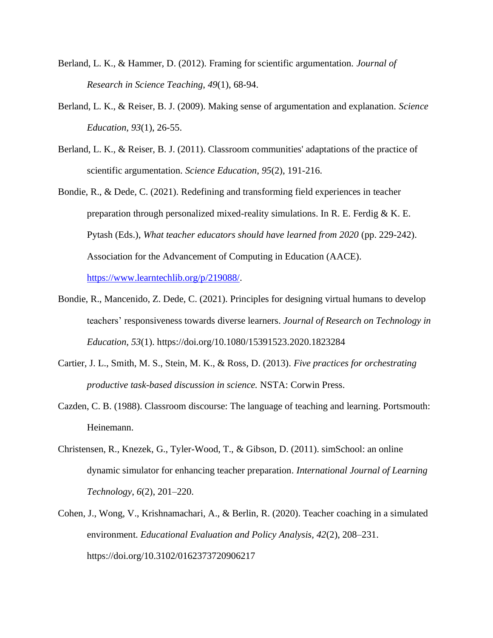- Berland, L. K., & Hammer, D. (2012). Framing for scientific argumentation. *Journal of Research in Science Teaching*, *49*(1), 68-94.
- Berland, L. K., & Reiser, B. J. (2009). Making sense of argumentation and explanation. *Science Education, 93*(1), 26-55.
- Berland, L. K., & Reiser, B. J. (2011). Classroom communities' adaptations of the practice of scientific argumentation. *Science Education*, *95*(2), 191-216.
- Bondie, R., & Dede, C. (2021). Redefining and transforming field experiences in teacher preparation through personalized mixed-reality simulations. In R. E. Ferdig  $& K. E.$ Pytash (Eds.), *What teacher educators should have learned from 2020* (pp. 229-242). Association for the Advancement of Computing in Education (AACE). [https://www.learntechlib.org/p/219088/.](https://www.learntechlib.org/p/219088/)
- Bondie, R., Mancenido, Z. Dede, C. (2021). Principles for designing virtual humans to develop teachers' responsiveness towards diverse learners. *Journal of Research on Technology in Education, 53*(1). https://doi.org/10.1080/15391523.2020.1823284
- Cartier, J. L., Smith, M. S., Stein, M. K., & Ross, D. (2013). *Five practices for orchestrating productive task-based discussion in science.* NSTA: Corwin Press.
- Cazden, C. B. (1988). Classroom discourse: The language of teaching and learning. Portsmouth: Heinemann.
- Christensen, R., Knezek, G., Tyler-Wood, T., & Gibson, D. (2011). simSchool: an online dynamic simulator for enhancing teacher preparation. *International Journal of Learning Technology*, *6*(2), 201–220.
- Cohen, J., Wong, V., Krishnamachari, A., & Berlin, R. (2020). Teacher coaching in a simulated environment. *Educational Evaluation and Policy Analysis, 42*(2), 208–231. https://doi.org/10.3102/0162373720906217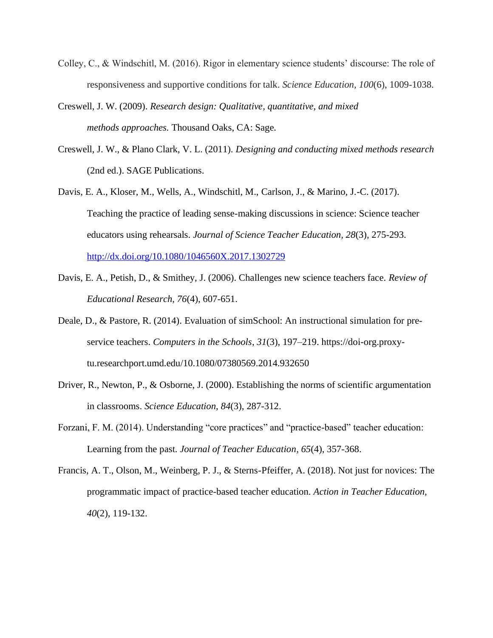- Colley, C., & Windschitl, M. (2016). Rigor in elementary science students' discourse: The role of responsiveness and supportive conditions for talk. *Science Education, 100*(6), 1009-1038.
- Creswell, J. W. (2009). *Research design: Qualitative, quantitative, and mixed methods approaches.* Thousand Oaks, CA: Sage.
- Creswell, J. W., & Plano Clark, V. L. (2011). *Designing and conducting mixed methods research* (2nd ed.). SAGE Publications.
- Davis, E. A., Kloser, M., Wells, A., Windschitl, M., Carlson, J., & Marino, J.-C. (2017). Teaching the practice of leading sense-making discussions in science: Science teacher educators using rehearsals. *Journal of Science Teacher Education, 28*(3), 275-293. <http://dx.doi.org/10.1080/1046560X.2017.1302729>
- Davis, E. A., Petish, D., & Smithey, J. (2006). Challenges new science teachers face. *Review of Educational Research, 76*(4), 607-651.
- Deale, D., & Pastore, R. (2014). Evaluation of simSchool: An instructional simulation for preservice teachers. *Computers in the Schools*, *31*(3), 197–219. https://doi-org.proxytu.researchport.umd.edu/10.1080/07380569.2014.932650
- Driver, R., Newton, P., & Osborne, J. (2000). Establishing the norms of scientific argumentation in classrooms. *Science Education*, *84*(3), 287-312.
- Forzani, F. M. (2014). Understanding "core practices" and "practice-based" teacher education: Learning from the past. *Journal of Teacher Education*, *65*(4), 357-368.
- Francis, A. T., Olson, M., Weinberg, P. J., & Sterns-Pfeiffer, A. (2018). Not just for novices: The programmatic impact of practice-based teacher education. *Action in Teacher Education, 40*(2), 119-132.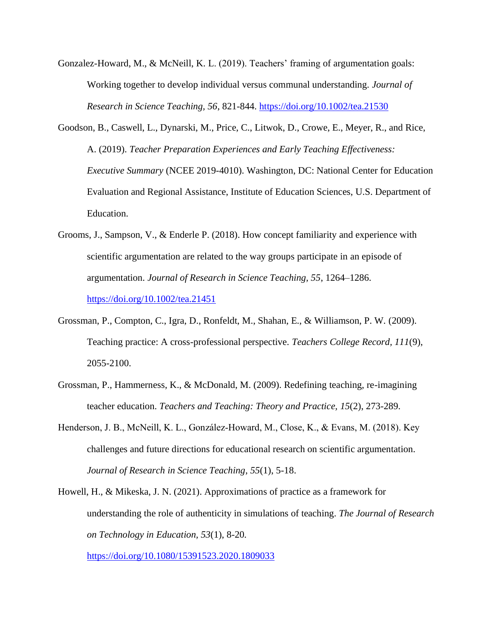- Gonzalez-Howard, M., & McNeill, K. L. (2019). Teachers' framing of argumentation goals: Working together to develop individual versus communal understanding. *Journal of Research in Science Teaching, 56*, 821-844.<https://doi.org/10.1002/tea.21530>
- Goodson, B., Caswell, L., Dynarski, M., Price, C., Litwok, D., Crowe, E., Meyer, R., and Rice, A. (2019). *Teacher Preparation Experiences and Early Teaching Effectiveness: Executive Summary* (NCEE 2019-4010). Washington, DC: National Center for Education Evaluation and Regional Assistance, Institute of Education Sciences, U.S. Department of Education.
- Grooms, J., Sampson, V., & Enderle P. (2018). How concept familiarity and experience with scientific argumentation are related to the way groups participate in an episode of argumentation. *Journal of Research in Science Teaching, 55*, 1264–1286. <https://doi.org/10.1002/tea.21451>
- Grossman, P., Compton, C., Igra, D., Ronfeldt, M., Shahan, E., & Williamson, P. W. (2009). Teaching practice: A cross-professional perspective. *Teachers College Record, 111*(9), 2055-2100.
- Grossman, P., Hammerness, K., & McDonald, M. (2009). Redefining teaching, re-imagining teacher education. *Teachers and Teaching: Theory and Practice, 15*(2), 273-289.
- Henderson, J. B., McNeill, K. L., González‐Howard, M., Close, K., & Evans, M. (2018). Key challenges and future directions for educational research on scientific argumentation. *Journal of Research in Science Teaching*, *55*(1), 5-18.
- Howell, H., & Mikeska, J. N. (2021). Approximations of practice as a framework for understanding the role of authenticity in simulations of teaching. *The Journal of Research on Technology in Education, 53*(1), 8-20*.*

<https://doi.org/10.1080/15391523.2020.1809033>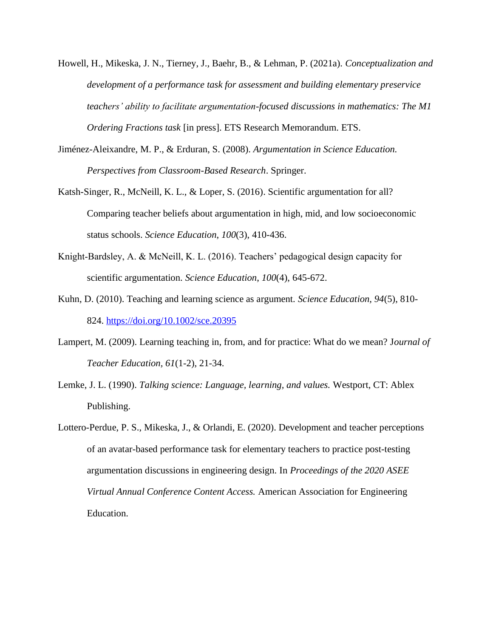- Howell, H., Mikeska, J. N., Tierney, J., Baehr, B., & Lehman, P. (2021a). *Conceptualization and development of a performance task for assessment and building elementary preservice teachers' ability to facilitate argumentation-focused discussions in mathematics: The M1 Ordering Fractions task* [in press]. ETS Research Memorandum. ETS.
- Jiménez-Aleixandre, M. P., & Erduran, S. (2008). *Argumentation in Science Education. Perspectives from Classroom-Based Research*. Springer.
- Katsh-Singer, R., McNeill, K. L., & Loper, S. (2016). Scientific argumentation for all? Comparing teacher beliefs about argumentation in high, mid, and low socioeconomic status schools. *Science Education*, *100*(3), 410-436.
- Knight‐Bardsley, A. & McNeill, K. L. (2016). Teachers' pedagogical design capacity for scientific argumentation. *Science Education*, *100*(4), 645-672.
- Kuhn, D. (2010). Teaching and learning science as argument. *Science Education, 94*(5), 810- 824.<https://doi.org/10.1002/sce.20395>
- Lampert, M. (2009). Learning teaching in, from, and for practice: What do we mean? J*ournal of Teacher Education, 61*(1-2), 21-34.
- Lemke, J. L. (1990). *Talking science: Language, learning, and values.* Westport, CT: Ablex Publishing.
- Lottero-Perdue, P. S., Mikeska, J., & Orlandi, E. (2020). Development and teacher perceptions of an avatar-based performance task for elementary teachers to practice post-testing argumentation discussions in engineering design. In *Proceedings of the 2020 ASEE Virtual Annual Conference Content Access.* American Association for Engineering Education.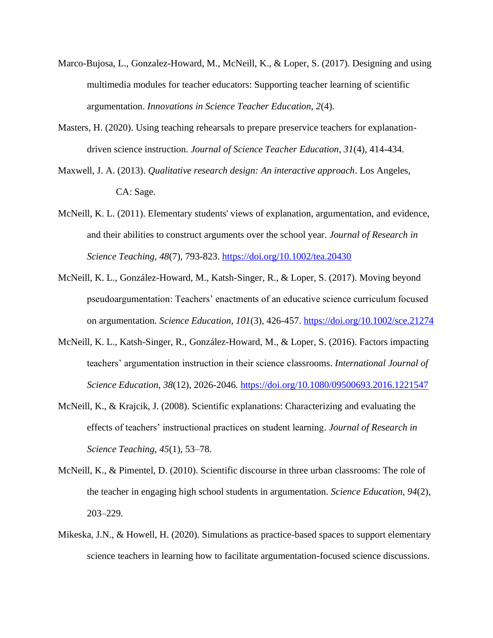- Marco-Bujosa, L., Gonzalez-Howard, M., McNeill, K., & Loper, S. (2017). Designing and using multimedia modules for teacher educators: Supporting teacher learning of scientific argumentation. *Innovations in Science Teacher Education, 2*(4).
- Masters, H. (2020). Using teaching rehearsals to prepare preservice teachers for explanationdriven science instruction. *Journal of Science Teacher Education, 31*(4), 414-434.
- Maxwell, J. A. (2013). *Qualitative research design: An interactive approach*. Los Angeles, CA: Sage.
- McNeill, K. L. (2011). Elementary students' views of explanation, argumentation, and evidence, and their abilities to construct arguments over the school year. *Journal of Research in Science Teaching, 48*(7), 793-823.<https://doi.org/10.1002/tea.20430>
- McNeill, K. L., González-Howard, M., Katsh-Singer, R., & Loper, S. (2017). Moving beyond pseudoargumentation: Teachers' enactments of an educative science curriculum focused on argumentation. *Science Education, 101*(3), 426-457.<https://doi.org/10.1002/sce.21274>
- McNeill, K. L., Katsh-Singer, R., González-Howard, M., & Loper, S. (2016). Factors impacting teachers' argumentation instruction in their science classrooms. *International Journal of Science Education, 38*(12), 2026-2046.<https://doi.org/10.1080/09500693.2016.1221547>
- McNeill, K., & Krajcik, J. (2008). Scientific explanations: Characterizing and evaluating the effects of teachers' instructional practices on student learning. *Journal of Research in Science Teaching, 45*(1), 53–78.
- McNeill, K., & Pimentel, D. (2010). Scientific discourse in three urban classrooms: The role of the teacher in engaging high school students in argumentation. *Science Education, 94*(2), 203–229.
- Mikeska, J.N., & Howell, H. (2020). Simulations as practice-based spaces to support elementary science teachers in learning how to facilitate argumentation-focused science discussions.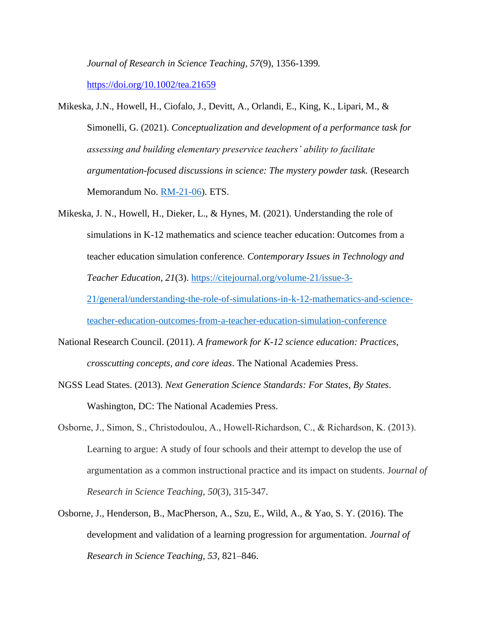*Journal of Research in Science Teaching, 57*(9), 1356-1399*.* 

<https://doi.org/10.1002/tea.21659>

- Mikeska, J.N., Howell, H., Ciofalo, J., Devitt, A., Orlandi, E., King, K., Lipari, M., & Simonelli, G. (2021). *Conceptualization and development of a performance task for assessing and building elementary preservice teachers' ability to facilitate argumentation-focused discussions in science: The mystery powder task.* (Research Memorandum No. [RM-21-06\)](https://www.ets.org/Media/Research/pdf/RM-21-06.pdf). ETS.
- Mikeska, J. N., Howell, H., Dieker, L., & Hynes, M. (2021). Understanding the role of simulations in K-12 mathematics and science teacher education: Outcomes from a teacher education simulation conference. *Contemporary Issues in Technology and Teacher Education, 21*(3). [https://citejournal.org/volume-21/issue-3-](https://citejournal.org/volume-21/issue-3-21/general/understanding-the-role-of-simulations-in-k-12-mathematics-and-science-teacher-education-outcomes-from-a-teacher-education-simulation-conference) [21/general/understanding-the-role-of-simulations-in-k-12-mathematics-and-science](https://citejournal.org/volume-21/issue-3-21/general/understanding-the-role-of-simulations-in-k-12-mathematics-and-science-teacher-education-outcomes-from-a-teacher-education-simulation-conference)[teacher-education-outcomes-from-a-teacher-education-simulation-conference](https://citejournal.org/volume-21/issue-3-21/general/understanding-the-role-of-simulations-in-k-12-mathematics-and-science-teacher-education-outcomes-from-a-teacher-education-simulation-conference)
- National Research Council. (2011). *A framework for K-12 science education: Practices, crosscutting concepts, and core ideas*. The National Academies Press.
- NGSS Lead States. (2013). *Next Generation Science Standards: For States, By States*. Washington, DC: The National Academies Press.
- Osborne, J., Simon, S., Christodoulou, A., Howell‐Richardson, C., & Richardson, K. (2013). Learning to argue: A study of four schools and their attempt to develop the use of argumentation as a common instructional practice and its impact on students. J*ournal of Research in Science Teaching, 50*(3), 315-347.
- Osborne, J., Henderson, B., MacPherson, A., Szu, E., Wild, A., & Yao, S. Y. (2016). The development and validation of a learning progression for argumentation. *Journal of Research in Science Teaching, 53*, 821–846.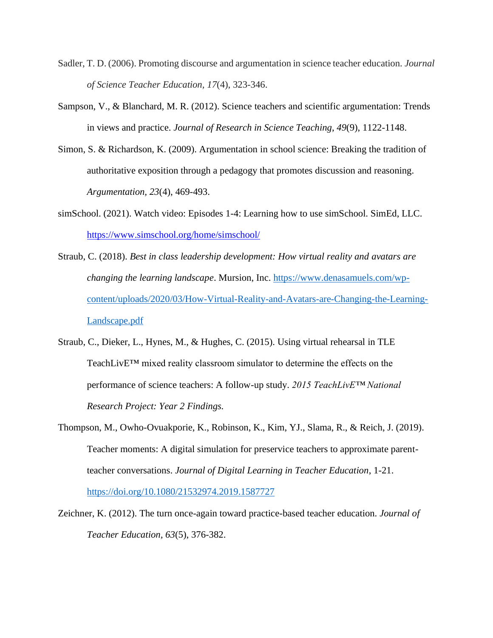- Sadler, T. D. (2006). Promoting discourse and argumentation in science teacher education. *Journal of Science Teacher Education, 17*(4), 323-346.
- Sampson, V., & Blanchard, M. R. (2012). Science teachers and scientific argumentation: Trends in views and practice. *Journal of Research in Science Teaching*, *49*(9), 1122-1148.
- Simon, S. & Richardson, K. (2009). Argumentation in school science: Breaking the tradition of authoritative exposition through a pedagogy that promotes discussion and reasoning. *Argumentation, 23*(4), 469-493.
- simSchool. (2021). Watch video: Episodes 1-4: Learning how to use simSchool. SimEd, LLC. <https://www.simschool.org/home/simschool/>
- Straub, C. (2018). *Best in class leadership development: How virtual reality and avatars are changing the learning landscape*. Mursion, Inc. [https://www.denasamuels.com/wp](https://www.denasamuels.com/wp-content/uploads/2020/03/How-Virtual-Reality-and-Avatars-are-Changing-the-Learning-Landscape.pdf)[content/uploads/2020/03/How-Virtual-Reality-and-Avatars-are-Changing-the-Learning-](https://www.denasamuels.com/wp-content/uploads/2020/03/How-Virtual-Reality-and-Avatars-are-Changing-the-Learning-Landscape.pdf)[Landscape.pdf](https://www.denasamuels.com/wp-content/uploads/2020/03/How-Virtual-Reality-and-Avatars-are-Changing-the-Learning-Landscape.pdf)
- Straub, C., Dieker, L., Hynes, M., & Hughes, C. (2015). Using virtual rehearsal in TLE TeachLivE™ mixed reality classroom simulator to determine the effects on the performance of science teachers: A follow-up study. *2015 TeachLivE™ National Research Project: Year 2 Findings.*
- Thompson, M., Owho-Ovuakporie, K., Robinson, K., Kim, YJ., Slama, R., & Reich, J. (2019). Teacher moments: A digital simulation for preservice teachers to approximate parentteacher conversations. *Journal of Digital Learning in Teacher Education*, 1-21.

<https://doi.org/10.1080/21532974.2019.1587727>

Zeichner, K. (2012). The turn once-again toward practice-based teacher education. *Journal of Teacher Education, 63*(5), 376-382.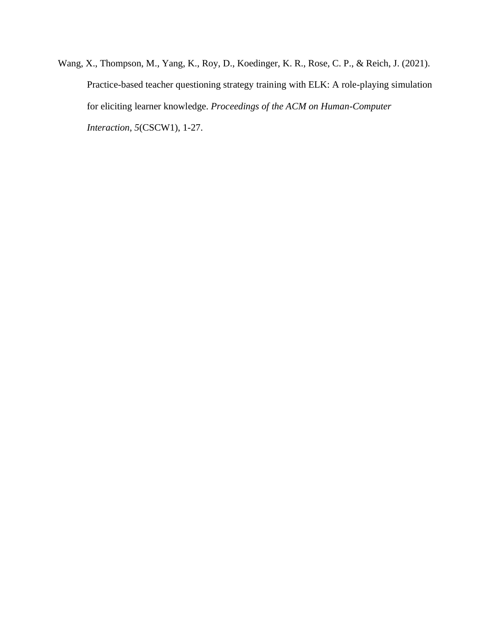Wang, X., Thompson, M., Yang, K., Roy, D., Koedinger, K. R., Rose, C. P., & Reich, J. (2021). Practice-based teacher questioning strategy training with ELK: A role-playing simulation for eliciting learner knowledge. *Proceedings of the ACM on Human-Computer Interaction*, *5*(CSCW1), 1-27.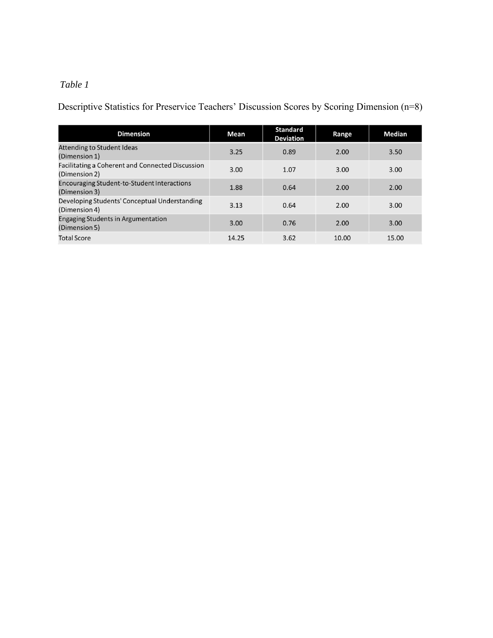# *Table 1*

Descriptive Statistics for Preservice Teachers' Discussion Scores by Scoring Dimension (n=8)

| <b>Dimension</b>                                                  | Mean  | <b>Standard</b><br><b>Deviation</b> | Range | <b>Median</b> |
|-------------------------------------------------------------------|-------|-------------------------------------|-------|---------------|
| Attending to Student Ideas<br>(Dimension 1)                       | 3.25  | 0.89                                | 2.00  | 3.50          |
| Facilitating a Coherent and Connected Discussion<br>(Dimension 2) | 3.00  | 1.07                                | 3.00  | 3.00          |
| Encouraging Student-to-Student Interactions<br>(Dimension 3)      | 1.88  | 0.64                                | 2.00  | 2.00          |
| Developing Students' Conceptual Understanding<br>(Dimension 4)    | 3.13  | 0.64                                | 2.00  | 3.00          |
| <b>Engaging Students in Argumentation</b><br>(Dimension 5)        | 3.00  | 0.76                                | 2.00  | 3.00          |
| <b>Total Score</b>                                                | 14.25 | 3.62                                | 10.00 | 15.00         |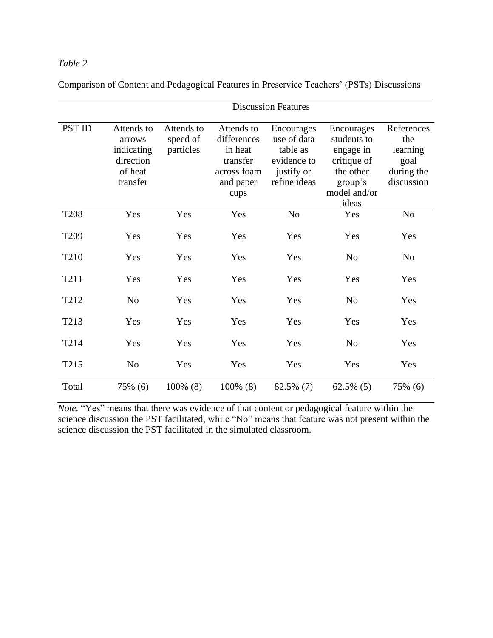## *Table 2*

| Comparison of Content and Pedagogical Features in Preservice Teachers' (PSTs) Discussions |  |  |  |  |
|-------------------------------------------------------------------------------------------|--|--|--|--|
|                                                                                           |  |  |  |  |

|                  |                                                                        | <b>Discussion Features</b>          |                                                                                      |                                                                                    |                                                                                                        |                                                                   |  |  |
|------------------|------------------------------------------------------------------------|-------------------------------------|--------------------------------------------------------------------------------------|------------------------------------------------------------------------------------|--------------------------------------------------------------------------------------------------------|-------------------------------------------------------------------|--|--|
| <b>PST ID</b>    | Attends to<br>arrows<br>indicating<br>direction<br>of heat<br>transfer | Attends to<br>speed of<br>particles | Attends to<br>differences<br>in heat<br>transfer<br>across foam<br>and paper<br>cups | Encourages<br>use of data<br>table as<br>evidence to<br>justify or<br>refine ideas | Encourages<br>students to<br>engage in<br>critique of<br>the other<br>group's<br>model and/or<br>ideas | References<br>the<br>learning<br>goal<br>during the<br>discussion |  |  |
| T <sub>208</sub> | Yes                                                                    | Yes                                 | Yes                                                                                  | N <sub>o</sub>                                                                     | Yes                                                                                                    | N <sub>o</sub>                                                    |  |  |
| T <sub>209</sub> | Yes                                                                    | Yes                                 | Yes                                                                                  | Yes                                                                                | Yes                                                                                                    | Yes                                                               |  |  |
| T <sub>210</sub> | Yes                                                                    | Yes                                 | Yes                                                                                  | Yes                                                                                | N <sub>o</sub>                                                                                         | N <sub>o</sub>                                                    |  |  |
| T211             | Yes                                                                    | Yes                                 | Yes                                                                                  | Yes                                                                                | Yes                                                                                                    | Yes                                                               |  |  |
| T212             | N <sub>o</sub>                                                         | Yes                                 | Yes                                                                                  | Yes                                                                                | N <sub>o</sub>                                                                                         | Yes                                                               |  |  |
| T <sub>213</sub> | Yes                                                                    | Yes                                 | Yes                                                                                  | Yes                                                                                | Yes                                                                                                    | Yes                                                               |  |  |
| T214             | Yes                                                                    | Yes                                 | Yes                                                                                  | Yes                                                                                | N <sub>o</sub>                                                                                         | Yes                                                               |  |  |
| T <sub>215</sub> | N <sub>o</sub>                                                         | Yes                                 | Yes                                                                                  | Yes                                                                                | Yes                                                                                                    | Yes                                                               |  |  |
| Total            | 75% (6)                                                                | $100\%$ (8)                         | $100\%$ (8)                                                                          | 82.5% (7)                                                                          | $62.5\%$ (5)                                                                                           | 75% (6)                                                           |  |  |

*Note.* "Yes" means that there was evidence of that content or pedagogical feature within the science discussion the PST facilitated, while "No" means that feature was not present within the science discussion the PST facilitated in the simulated classroom.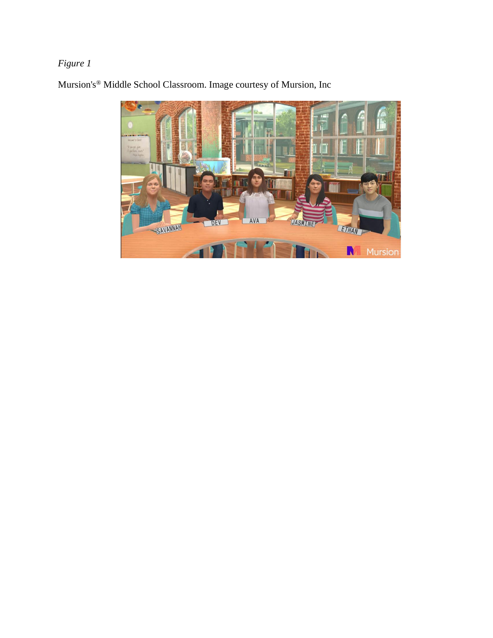Mursion's® Middle School Classroom. Image courtesy of Mursion, Inc

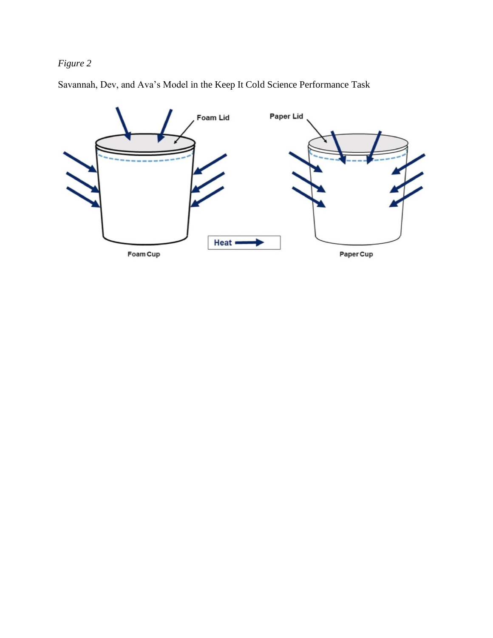Savannah, Dev, and Ava's Model in the Keep It Cold Science Performance Task

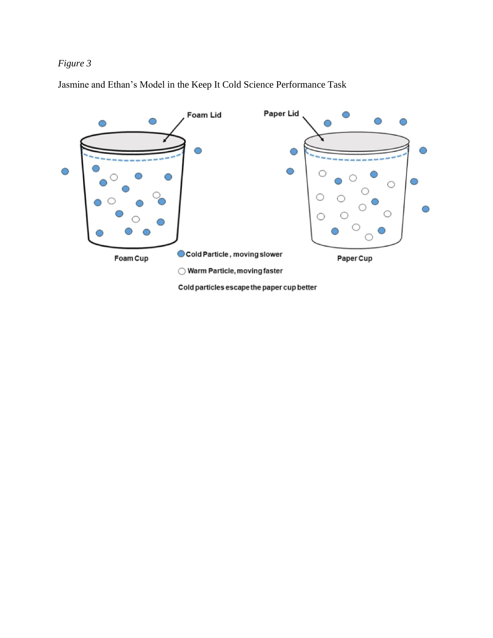Jasmine and Ethan's Model in the Keep It Cold Science Performance Task



Cold particles escape the paper cup better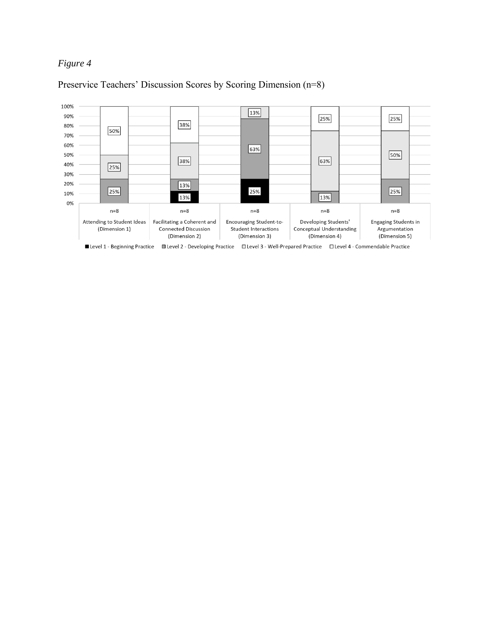

## Preservice Teachers' Discussion Scores by Scoring Dimension (n=8)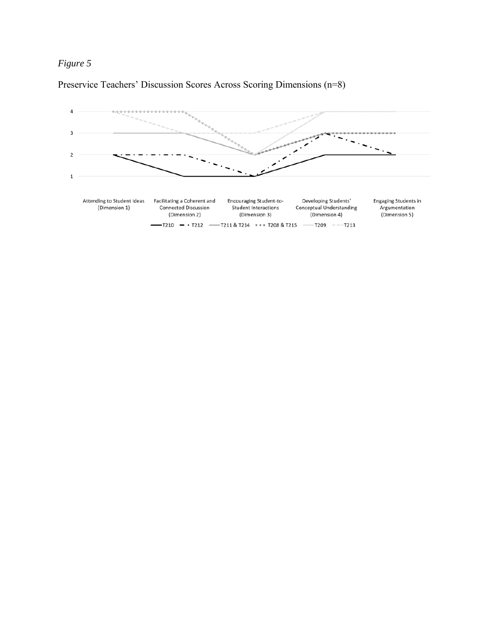

## Preservice Teachers' Discussion Scores Across Scoring Dimensions (n=8)